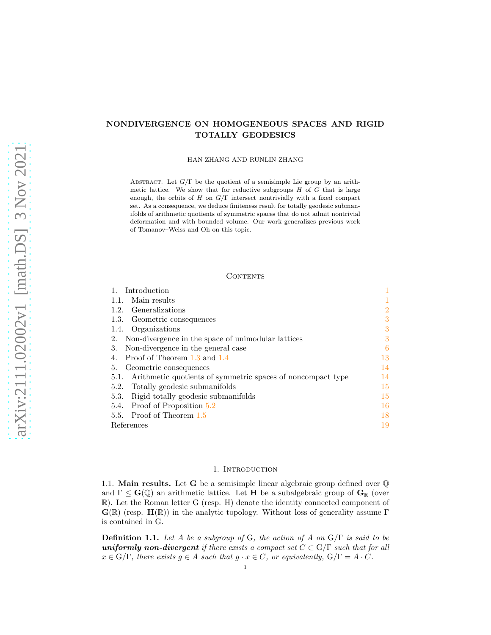# NONDIVERGENCE ON HOMOGENEOUS SPACES AND RIGID TOTALLY GEODESICS

HAN ZHANG AND RUNLIN ZHANG

ABSTRACT. Let  $G/\Gamma$  be the quotient of a semisimple Lie group by an arithmetic lattice. We show that for reductive subgroups  $H$  of  $G$  that is large enough, the orbits of  $H$  on  $G/\Gamma$  intersect nontrivially with a fixed compact set. As a consequence, we deduce finiteness result for totally geodesic submanifolds of arithmetic quotients of symmetric spaces that do not admit nontrivial deformation and with bounded volume. Our work generalizes previous work of Tomanov–Weiss and Oh on this topic.

### **CONTENTS**

| Introduction                                                        |                |
|---------------------------------------------------------------------|----------------|
| Main results<br>1.1.                                                |                |
| Generalizations<br>1.2.                                             | $\overline{2}$ |
| 1.3. Geometric consequences                                         | 3              |
| Organizations<br>1.4.                                               | 3              |
| Non-divergence in the space of unimodular lattices<br>2.            | 3              |
| Non-divergence in the general case<br>3.                            | 6              |
| Proof of Theorem 1.3 and 1.4                                        | 13             |
| Geometric consequences<br>5.                                        | 14             |
| Arithmetic quotients of symmetric spaces of noncompact type<br>5.1. | 14             |
| 5.2. Totally geodesic submanifolds                                  | 15             |
| Rigid totally geodesic submanifolds<br>5.3.                         | 15             |
| Proof of Proposition 5.2<br>5.4.                                    | 16             |
| 5.5. Proof of Theorem 1.5                                           | 18             |
| References                                                          | 19             |

#### 1. INTRODUCTION

<span id="page-0-1"></span><span id="page-0-0"></span>1.1. **Main results.** Let **G** be a semisimple linear algebraic group defined over  $\mathbb{Q}$ and  $\Gamma \leq G(\mathbb{Q})$  an arithmetic lattice. Let **H** be a subalgebraic group of  $G_{\mathbb{R}}$  (over R). Let the Roman letter G (resp. H) denote the identity connected component of  $\mathbf{G}(\mathbb{R})$  (resp.  $\mathbf{H}(\mathbb{R})$ ) in the analytic topology. Without loss of generality assume Γ is contained in G.

**Definition 1.1.** Let A be a subgroup of G, the action of A on  $G/\Gamma$  is said to be uniformly non-divergent if there exists a compact set  $C \subset G/\Gamma$  such that for all  $x \in G/\Gamma$ , there exists  $g \in A$  such that  $g \cdot x \in C$ , or equivalently,  $G/\Gamma = A \cdot C$ .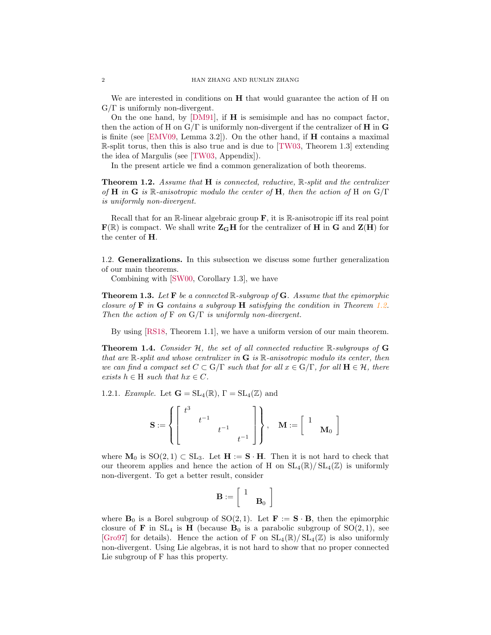We are interested in conditions on **H** that would guarantee the action of H on  $G/\Gamma$  is uniformly non-divergent.

On the one hand, by  $[DM91]$ , if **H** is semisimple and has no compact factor, then the action of H on  $G/\Gamma$  is uniformly non-divergent if the centralizer of H in G is finite (see [\[EMV09,](#page-18-2) Lemma 3.2]). On the other hand, if  $H$  contains a maximal  $\mathbb{R}$ -split torus, then this is also true and is due to [\[TW03,](#page-19-0) Theorem 1.3] extending the idea of Margulis (see [\[TW03,](#page-19-0) Appendix]).

In the present article we find a common generalization of both theorems.

<span id="page-1-3"></span>**Theorem 1.2.** Assume that  $H$  is connected, reductive,  $\mathbb{R}$ -split and the centralizer of H in G is R-anisotropic modulo the center of H, then the action of H on  $G/\Gamma$ is uniformly non-divergent.

Recall that for an  $\mathbb R$ -linear algebraic group  $\mathbf F$ , it is  $\mathbb R$ -anisotropic iff its real point  $\mathbf{F}(\mathbb{R})$  is compact. We shall write  $\mathbf{Z}_\mathbf{G}\mathbf{H}$  for the centralizer of H in G and  $\mathbf{Z}(\mathbf{H})$  for the center of H.

<span id="page-1-0"></span>1.2. Generalizations. In this subsection we discuss some further generalization of our main theorems.

Combining with [\[SW00,](#page-19-1) Corollary 1.3], we have

<span id="page-1-1"></span>**Theorem 1.3.** Let **F** be a connected  $\mathbb{R}$ -subgroup of **G**. Assume that the epimorphic closure of  $\bf{F}$  in  $\bf{G}$  contains a subgroup  $\bf{H}$  satisfying the condition in Theorem [1.2.](#page-1-3) Then the action of F on  $G/\Gamma$  is uniformly non-divergent.

By using [\[RS18,](#page-19-2) Theorem 1.1], we have a uniform version of our main theorem.

<span id="page-1-2"></span>**Theorem 1.4.** Consider  $H$ , the set of all connected reductive  $\mathbb{R}$ -subgroups of G that are  $\mathbb{R}$ -split and whose centralizer in **G** is  $\mathbb{R}$ -anisotropic modulo its center, then we can find a compact set  $C \subset G/\Gamma$  such that for all  $x \in G/\Gamma$ , for all  $H \in \mathcal{H}$ , there exists  $h \in H$  such that  $hx \in C$ .

1.2.1. Example. Let  $\mathbf{G} = SL_4(\mathbb{R}), \Gamma = SL_4(\mathbb{Z})$  and

$$
\mathbf{S}:=\left\{\left[\begin{array}{ccc}t^3& &\\ &t^{-1}&\\ & &t^{-1}&\\ & & &t^{-1}\end{array}\right]\right\},\quad \mathbf{M}:=\left[\begin{array}{ccc}1&\\&\mathbf{M}_0\end{array}\right]
$$

where  $\mathbf{M}_0$  is  $\text{SO}(2,1) \subset \text{SL}_3$ . Let  $\mathbf{H} := \mathbf{S} \cdot \mathbf{H}$ . Then it is not hard to check that our theorem applies and hence the action of H on  $SL_4(\mathbb{R})/SL_4(\mathbb{Z})$  is uniformly non-divergent. To get a better result, consider

$$
\mathbf{B}:=\left[\begin{array}{cc} 1\\&\mathbf{B}_0\end{array}\right]
$$

where  $\mathbf{B}_0$  is a Borel subgroup of  $\text{SO}(2,1)$ . Let  $\mathbf{F} := \mathbf{S} \cdot \mathbf{B}$ , then the epimorphic closure of **F** in  $SL_4$  is **H** (because  $B_0$  is a parabolic subgroup of  $SO(2,1)$ , see [\[Gro97\]](#page-18-3) for details). Hence the action of F on  $SL_4(\mathbb{R})/SL_4(\mathbb{Z})$  is also uniformly non-divergent. Using Lie algebras, it is not hard to show that no proper connected Lie subgroup of F has this property.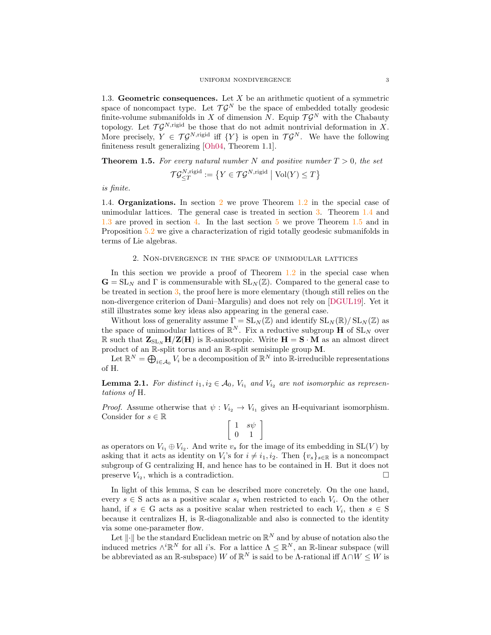<span id="page-2-0"></span>1.3. Geometric consequences. Let  $X$  be an arithmetic quotient of a symmetric space of noncompact type. Let  $\mathcal{T}\mathcal{G}^N$  be the space of embedded totally geodesic finite-volume submanifolds in X of dimension N. Equip  $\mathcal{T} \mathcal{G}^N$  with the Chabauty topology. Let  $\mathcal{T}\mathcal{G}^{N,\text{rigid}}$  be those that do not admit nontrivial deformation in X. More precisely,  $Y \in \mathcal{T} \mathcal{G}^{N,\text{rigid}}$  iff  $\{Y\}$  is open in  $\mathcal{T} \mathcal{G}^N$ . We have the following finiteness result generalizing [\[Oh04,](#page-19-3) Theorem 1.1].

<span id="page-2-3"></span>**Theorem 1.5.** For every natural number N and positive number  $T > 0$ , the set

$$
\mathcal{T}\mathcal{G}_{\leq T}^{N,\mathrm{rigid}}:=\left\{Y\in\mathcal{T}\mathcal{G}^{N,\mathrm{rigid}}\ \big|\ \mathrm{Vol}(Y)\leq T\right\}
$$

<span id="page-2-1"></span>is finite.

1.4. Organizations. In section [2](#page-2-2) we prove Theorem [1.2](#page-1-3) in the special case of unimodular lattices. The general case is treated in section [3.](#page-5-0) Theorem [1.4](#page-1-2) and [1.3](#page-1-1) are proved in section [4.](#page-12-0) In the last section [5](#page-13-0) we prove Theorem [1.5](#page-2-3) and in Proposition [5.2](#page-14-2) we give a characterization of rigid totally geodesic submanifolds in terms of Lie algebras.

#### 2. Non-divergence in the space of unimodular lattices

<span id="page-2-2"></span>In this section we provide a proof of Theorem [1.2](#page-1-3) in the special case when  $\mathbf{G} = SL_N$  and  $\Gamma$  is commensurable with  $SL_N(\mathbb{Z})$ . Compared to the general case to be treated in section  $3$ , the proof here is more elementary (though still relies on the non-divergence criterion of Dani–Margulis) and does not rely on [\[DGUL19\]](#page-18-4). Yet it still illustrates some key ideas also appearing in the general case.

Without loss of generality assume  $\Gamma = SL_N(\mathbb{Z})$  and identify  $SL_N(\mathbb{R})/SL_N(\mathbb{Z})$  as the space of unimodular lattices of  $\mathbb{R}^N$ . Fix a reductive subgroup **H** of  $SL_N$  over R such that  $\mathbf{Z}_{SL_N} H/\mathbf{Z}(H)$  is R-anisotropic. Write  $H = S \cdot M$  as an almost direct product of an R-split torus and an R-split semisimple group M.

Let  $\mathbb{R}^N = \bigoplus_{i \in \mathcal{A}_0} V_i$  be a decomposition of  $\mathbb{R}^N$  into  $\mathbb{R}$ -irreducible representations of H.

**Lemma 2.1.** For distinct  $i_1, i_2 \in A_0$ ,  $V_{i_1}$  and  $V_{i_2}$  are not isomorphic as representations of H.

*Proof.* Assume otherwise that  $\psi : V_{i_2} \to V_{i_1}$  gives an H-equivariant isomorphism. Consider for  $s \in \mathbb{R}$ 

$$
\left[\begin{array}{cc} 1 & s\psi \\ 0 & 1 \end{array}\right]
$$

as operators on  $V_{i_1} \oplus V_{i_2}$ . And write  $v_s$  for the image of its embedding in  $SL(V)$  by asking that it acts as identity on  $V_i$ 's for  $i \neq i_1, i_2$ . Then  $\{v_s\}_{s \in \mathbb{R}}$  is a noncompact subgroup of G centralizing H, and hence has to be contained in H. But it does not preserve  $V_{i_2}$ , which is a contradiction.

In light of this lemma, S can be described more concretely. On the one hand, every  $s \in S$  acts as a positive scalar  $s_i$  when restricted to each  $V_i$ . On the other hand, if  $s \in G$  acts as a positive scalar when restricted to each  $V_i$ , then  $s \in S$ because it centralizes H, is R-diagonalizable and also is connected to the identity via some one-parameter flow.

Let  $\lVert \cdot \rVert$  be the standard Euclidean metric on  $\mathbb{R}^N$  and by abuse of notation also the induced metrics  $\wedge^i \mathbb{R}^N$  for all *i*'s. For a lattice  $\Lambda \leq \mathbb{R}^N$ , an  $\mathbb{R}$ -linear subspace (will be abbreviated as an R-subspace) W of  $\mathbb{R}^N$  is said to be  $\Lambda$ -rational iff  $\Lambda \cap W \leq W$  is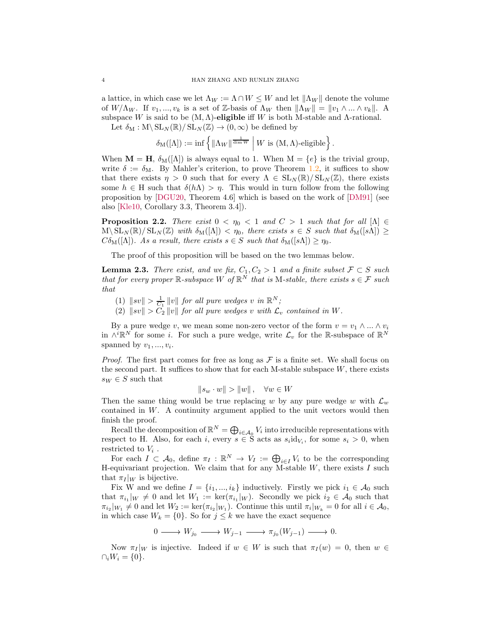a lattice, in which case we let  $\Lambda_W := \Lambda \cap W \leq W$  and let  $\|\Lambda_W\|$  denote the volume of  $W/\Lambda_W$ . If  $v_1, ..., v_k$  is a set of Z-basis of  $\Lambda_W$  then  $\|\Lambda_W\| = \|v_1 \wedge ... \wedge v_k\|$ . A subspace W is said to be  $(M, \Lambda)$ -eligible iff W is both M-stable and  $\Lambda$ -rational.

Let  $\delta_M : M \backslash SL_N(\mathbb{R}) / SL_N(\mathbb{Z}) \to (0, \infty)$  be defined by

$$
\delta_{\mathrm{M}}([\Lambda]):=\inf\left\{\|\Lambda_W\|^{\frac{1}{\dim W}}\;\middle|\; W\text{ is }(M,\Lambda)\text{-cligible}\right\}.
$$

When  $\mathbf{M} = \mathbf{H}$ ,  $\delta_{\mathbf{M}}([\Lambda])$  is always equal to 1. When  $\mathbf{M} = \{e\}$  is the trivial group, write  $\delta := \delta_M$ . By Mahler's criterion, to prove Theorem [1.2,](#page-1-3) it suffices to show that there exists  $\eta > 0$  such that for every  $\Lambda \in SL_N(\mathbb{R})/SL_N(\mathbb{Z})$ , there exists some  $h \in H$  such that  $\delta(h\Lambda) > \eta$ . This would in turn follow from the following proposition by [\[DGU20,](#page-18-5) Theorem 4.6] which is based on the work of [\[DM91\]](#page-18-1) (see also [\[Kle10,](#page-18-6) Corollary 3.3, Theorem 3.4]).

<span id="page-3-0"></span>**Proposition 2.2.** There exist  $0 < \eta_0 < 1$  and  $C > 1$  such that for all  $[\Lambda] \in$  $M\backslash SL_N(\mathbb{R})/SL_N(\mathbb{Z})$  with  $\delta_M([\Lambda]) < \eta_0$ , there exists  $s \in S$  such that  $\delta_M([s\Lambda]) \ge$  $C\delta_{\mathcal{M}}([\Lambda]).$  As a result, there exists  $s \in S$  such that  $\delta_{\mathcal{M}}([s\Lambda]) \geq \eta_0$ .

The proof of this proposition will be based on the two lemmas below.

<span id="page-3-1"></span>**Lemma 2.3.** There exist, and we fix,  $C_1, C_2 > 1$  and a finite subset  $\mathcal{F} \subset S$  such that for every proper  $\mathbb{R}$ -subspace W of  $\mathbb{R}^N$  that is M-stable, there exists  $s \in \mathcal{F}$  such that

- (1)  $\|sv\| > \frac{1}{C_1} \|v\|$  for all pure wedges v in  $\mathbb{R}^N$ ;
- (2)  $||sv|| > C_2 ||v||$  for all pure wedges v with  $\mathcal{L}_v$  contained in W.

By a pure wedge v, we mean some non-zero vector of the form  $v = v_1 \wedge ... \wedge v_i$ in  $\wedge^i \mathbb{R}^N$  for some *i*. For such a pure wedge, write  $\mathcal{L}_v$  for the R-subspace of  $\mathbb{R}^N$ spanned by  $v_1, ..., v_i$ .

*Proof.* The first part comes for free as long as  $\mathcal F$  is a finite set. We shall focus on the second part. It suffices to show that for each M-stable subspace  $W$ , there exists  $s_W \in S$  such that

$$
||s_w \cdot w|| > ||w||, \quad \forall w \in W
$$

Then the same thing would be true replacing w by any pure wedge w with  $\mathcal{L}_w$ contained in  $W$ . A continuity argument applied to the unit vectors would then finish the proof.

Recall the decomposition of  $\mathbb{R}^N = \bigoplus_{i \in A_0} V_i$  into irreducible representations with respect to H. Also, for each i, every  $s \in S$  acts as  $s_i \text{id}_{V_i}$ , for some  $s_i > 0$ , when restricted to  $V_i$ .

For each  $I \subset \mathcal{A}_0$ , define  $\pi_I : \mathbb{R}^N \to V_I := \bigoplus_{i \in I} V_i$  to be the corresponding H-equivariant projection. We claim that for any M-stable  $W$ , there exists  $I$  such that  $\pi_I |_{W}$  is bijective.

Fix W and we define  $I = \{i_1, ..., i_k\}$  inductively. Firstly we pick  $i_1 \in \mathcal{A}_0$  such that  $\pi_{i_1}|_W \neq 0$  and let  $W_1 := \ker(\pi_{i_1}|_W)$ . Secondly we pick  $i_2 \in \mathcal{A}_0$  such that  $\pi_{i_2}|_{W_1} \neq 0$  and let  $W_2 := \ker(\pi_{i_2}|_{W_1})$ . Continue this until  $\pi_i|_{W_k} = 0$  for all  $i \in \mathcal{A}_0$ , in which case  $W_k = \{0\}$ . So for  $j \leq k$  we have the exact sequence

$$
0 \longrightarrow W_{j_0} \longrightarrow W_{j-1} \longrightarrow \pi_{j_0}(W_{j-1}) \longrightarrow 0.
$$

Now  $\pi_I|_W$  is injective. Indeed if  $w \in W$  is such that  $\pi_I(w) = 0$ , then  $w \in$  $\cap_i W_i = \{0\}.$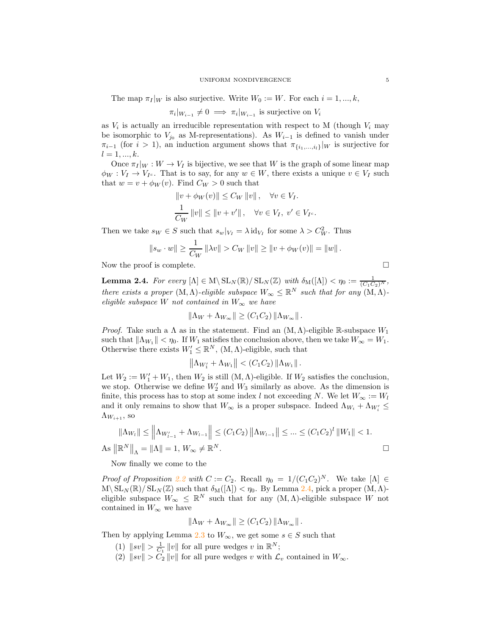The map  $\pi_I|_W$  is also surjective. Write  $W_0 := W$ . For each  $i = 1, ..., k$ ,

$$
\pi_i|_{W_{i-1}} \neq 0 \implies \pi_i|_{W_{i-1}}
$$
 is surjective on  $V_i$ 

as  $V_i$  is actually an irreducible representation with respect to M (though  $V_i$  may be isomorphic to  $V_{j_0}$  as M-representations). As  $W_{i-1}$  is defined to vanish under  $\pi_{i-1}$  (for  $i > 1$ ), an induction argument shows that  $\pi_{\{i_1,\dots,i_l\}}|_W$  is surjective for  $l = 1, ..., k.$ 

Once  $\pi_I|_W : W \to V_I$  is bijective, we see that W is the graph of some linear map  $\phi_W : V_I \to V_{I^c}$ . That is to say, for any  $w \in W$ , there exists a unique  $v \in V_I$  such that  $w = v + \phi_W(v)$ . Find  $C_W > 0$  such that

$$
||v + \phi_W(v)|| \le C_W ||v||, \quad \forall v \in V_I.
$$
  

$$
\frac{1}{C_W} ||v|| \le ||v + v'||, \quad \forall v \in V_I, v' \in V_{I^c}.
$$

Then we take  $s_W \in S$  such that  $s_w|_{V_I} = \lambda \operatorname{id}_{V_I}$  for some  $\lambda > C_W^2$ . Thus

$$
||s_w \cdot w|| \ge \frac{1}{C_W} ||\lambda v|| > C_W ||v|| \ge ||v + \phi_W(v)|| = ||w||.
$$

Now the proof is complete.

<span id="page-4-0"></span>**Lemma 2.4.** For every 
$$
[\Lambda] \in M \setminus SL_N(\mathbb{R}) / SL_N(\mathbb{Z})
$$
 with  $\delta_M([\Lambda]) < \eta_0 := \frac{1}{(C_1 C_2)^N}$ , there exists a proper  $(M, \Lambda)$ -*eligible subspace*  $W_{\infty} \leq \mathbb{R}^N$  such that for any  $(M, \Lambda)$ -*eligible subspace*  $W$  *not contained in*  $W_{\infty}$  *we have*

$$
\|\Lambda_W + \Lambda_{W_{\infty}}\| \ge (C_1 C_2) \|\Lambda_{W_{\infty}}\|.
$$

*Proof.* Take such a  $\Lambda$  as in the statement. Find an  $(M, \Lambda)$ -eligible R-subspace  $W_1$ such that  $\|\Lambda_{W_1}\| < \eta_0$ . If  $W_1$  satisfies the conclusion above, then we take  $W_\infty = W_1$ . Otherwise there exists  $W'_1 \leq \mathbb{R}^N$ ,  $(M, \Lambda)$ -eligible, such that

$$
\left\|\Lambda_{W_1'}+\Lambda_{W_1}\right\| < (C_1C_2)\left\|\Lambda_{W_1}\right\|.
$$

Let  $W_2 := W_1' + W_1$ , then  $W_2$  is still  $(M, \Lambda)$ -eligible. If  $W_2$  satisfies the conclusion, we stop. Otherwise we define  $W'_2$  and  $W_3$  similarly as above. As the dimension is finite, this process has to stop at some index l not exceeding N. We let  $W_{\infty} := W_l$ and it only remains to show that  $W_{\infty}$  is a proper subspace. Indeed  $\Lambda_{W_i} + \Lambda_{W'_i} \leq$  $\Lambda_{W_{i+1}}$ , so

$$
\|\Lambda_{W_l}\| \le \left\|\Lambda_{W'_{l-1}} + \Lambda_{W_{l-1}}\right\| \le (C_1 C_2) \left\|\Lambda_{W_{l-1}}\right\| \le \dots \le (C_1 C_2)^l \|W_1\| < 1.
$$
  
As  $\|\mathbb{R}^N\|_{\Lambda} = \|\Lambda\| = 1$ ,  $W_{\infty} \ne \mathbb{R}^N$ .

Now finally we come to the

Proof of Proposition [2.2](#page-3-0) with  $C := C_2$ . Recall  $\eta_0 = 1/(C_1C_2)^N$ . We take  $[\Lambda] \in$  $M\backslash SL_N(\mathbb{R})/SL_N(\mathbb{Z})$  such that  $\delta_M([\Lambda]) < \eta_0$ . By Lemma [2.4,](#page-4-0) pick a proper  $(M, \Lambda)$ eligible subspace  $W_{\infty} \leq \mathbb{R}^N$  such that for any  $(M, \Lambda)$ -eligible subspace W not contained in  $W_{\infty}$  we have

$$
\|\Lambda_W + \Lambda_{W_{\infty}}\| \ge (C_1 C_2) \|\Lambda_{W_{\infty}}\|.
$$

Then by applying Lemma [2.3](#page-3-1) to  $W_{\infty}$ , we get some  $s \in S$  such that

- (1)  $\|sv\| > \frac{1}{C_1} \|v\|$  for all pure wedges v in  $\mathbb{R}^N$ ;
- (2)  $||sv|| > C_2 ||v||$  for all pure wedges v with  $\mathcal{L}_v$  contained in  $W_{\infty}$ .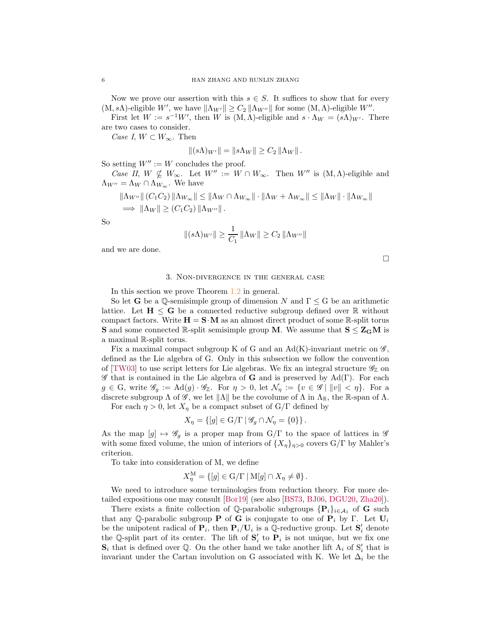Now we prove our assertion with this  $s \in S$ . It suffices to show that for every  $(M, s\Lambda)$ -eligible W', we have  $\|\Lambda_{W'}\| \geq C_2 \|\Lambda_{W''}\|$  for some  $(M, \Lambda)$ -eligible W''.

First let  $W := s^{-1}W'$ , then W is  $(M, \Lambda)$ -eligible and  $s \cdot \Lambda_W = (s\Lambda)_{W'}$ . There are two cases to consider.

Case I,  $W \subset W_{\infty}$ . Then

$$
||(s\Lambda)_{W'}|| = ||s\Lambda_W|| \geq C_2 ||\Lambda_W||.
$$

So setting  $W'' := W$  concludes the proof.

Case II,  $W \nsubseteq W_{\infty}$ . Let  $W'' := W \cap W_{\infty}$ . Then  $W''$  is  $(M, \Lambda)$ -eligible and  $\Lambda_{W''} = \Lambda_W \cap \Lambda_{W_\infty}$ . We have

$$
\|\Lambda_{W''}\| (C_1C_2) \|\Lambda_{W_{\infty}}\| \le \|\Lambda_W \cap \Lambda_{W_{\infty}}\| \cdot \|\Lambda_W + \Lambda_{W_{\infty}}\| \le \|\Lambda_W\| \cdot \|\Lambda_{W_{\infty}}\|
$$
  

$$
\implies \|\Lambda_W\| \ge (C_1C_2) \|\Lambda_{W''}\|.
$$

So

$$
||(s\Lambda)_{W'}|| \ge \frac{1}{C_1} ||\Lambda_W|| \ge C_2 ||\Lambda_{W''}||
$$

<span id="page-5-0"></span>and we are done.

 $\Box$ 

## 3. Non-divergence in the general case

In this section we prove Theorem [1.2](#page-1-3) in general.

So let **G** be a Q-semisimple group of dimension N and  $\Gamma \leq G$  be an arithmetic lattice. Let  $H \leq G$  be a connected reductive subgroup defined over  $\mathbb R$  without compact factors. Write  $H = S \cdot M$  as an almost direct product of some R-split torus **S** and some connected R-split semisimple group M. We assume that  $S \leq Z_G M$  is a maximal R-split torus.

Fix a maximal compact subgroup K of G and an  $Ad(K)$ -invariant metric on  $\mathscr{G}$ , defined as the Lie algebra of G. Only in this subsection we follow the convention of [\[TW03\]](#page-19-0) to use script letters for Lie algebras. We fix an integral structure  $\mathscr{G}_{\mathbb{Z}}$  on  $\mathscr G$  that is contained in the Lie algebra of **G** and is preserved by Ad(Γ). For each  $g \in G$ , write  $\mathscr{G}_g := \text{Ad}(g) \cdot \mathscr{G}_{\mathbb{Z}}$ . For  $\eta > 0$ , let  $\mathcal{N}_\eta := \{v \in \mathscr{G} \mid ||v|| < \eta\}$ . For a discrete subgroup  $\Lambda$  of  $\mathscr{G}$ , we let  $\|\Lambda\|$  be the covolume of  $\Lambda$  in  $\Lambda_{\mathbb{R}}$ , the R-span of  $\Lambda$ . For each  $\eta > 0$ , let  $X_{\eta}$  be a compact subset of  $G/\Gamma$  defined by

$$
X_{\eta} = \{ [g] \in \mathrm{G}/\Gamma \mid \mathscr{G}_{g} \cap \mathcal{N}_{\eta} = \{0\} \}.
$$

As the map  $[g] \mapsto \mathscr{G}_g$  is a proper map from  $G/\Gamma$  to the space of lattices in  $\mathscr{G}$ with some fixed volume, the union of interiors of  $\{X_{\eta}\}_{\eta>0}$  covers  $G/\Gamma$  by Mahler's criterion.

To take into consideration of M, we define

$$
X_{\eta}^{\mathcal{M}} = \{ [g] \in \mathcal{G}/\Gamma \mid \mathcal{M}[g] \cap X_{\eta} \neq \emptyset \}.
$$

We need to introduce some terminologies from reduction theory. For more detailed expositions one may consult [\[Bor19\]](#page-18-7) (see also [\[BS73,](#page-18-8) [BJ06,](#page-18-9) [DGU20,](#page-18-5) [Zha20\]](#page-19-4)).

There exists a finite collection of Q-parabolic subgroups  $\{P_i\}_{i\in\mathcal{A}_1}$  of G such that any Q-parabolic subgroup **P** of **G** is conjugate to one of  $P_i$  by Γ. Let  $U_i$ be the unipotent radical of  $P_i$ , then  $P_i/U_i$  is a Q-reductive group. Let  $S'_i$  denote the Q-split part of its center. The lift of  $S_i'$  to  $P_i$  is not unique, but we fix one  $\mathbf{S}_i$  that is defined over Q. On the other hand we take another lift  $A_i$  of  $S'_i$  that is invariant under the Cartan involution on G associated with K. We let  $\Delta_i$  be the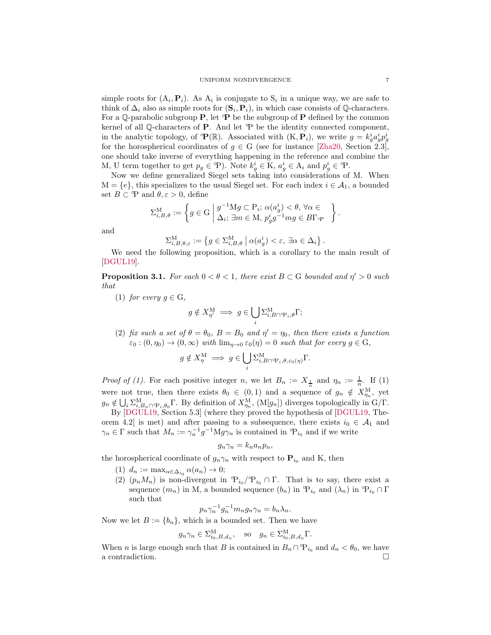simple roots for  $(A_i, P_i)$ . As  $A_i$  is conjugate to  $S_i$  in a unique way, we are safe to think of  $\Delta_i$  also as simple roots for  $(\mathbf{S}_i, \mathbf{P}_i)$ , in which case consists of Q-characters. For a Q-parabolic subgroup  $P$ , let  $\mathbb P$  be the subgroup of  $P$  defined by the common kernel of all  $\mathbb Q$ -characters of **P**. And let  $\mathbb P$  be the identity connected component, in the analytic topology, of  $\mathbf{P}(\mathbb{R})$ . Associated with  $(K, \mathbf{P}_i)$ , we write  $g = k_g^i a_g^i p_g^i$ for the horospherical coordinates of  $g \in G$  (see for instance [\[Zha20,](#page-19-4) Section 2.3], one should take inverse of everything happening in the reference and combine the M, U term together to get  $p_g \in \mathcal{P}$ ). Note  $k_g^i \in K$ ,  $a_g^i \in A_i$  and  $p_g^i \in \mathcal{P}$ .

Now we define generalized Siegel sets taking into considerations of M. When  $M = \{e\}$ , this specializes to the usual Siegel set. For each index  $i \in \mathcal{A}_1$ , a bounded set  $B \subset \mathcal{P}$  and  $\theta, \varepsilon > 0$ , define

$$
\Sigma_{i,B,\theta}^{\mathcal{M}} := \left\{ g \in \mathcal{G} \mid \begin{matrix} g^{-1} \mathcal{M} g \subset \mathcal{P}_i; \ \alpha(a_g^i) < \theta, \ \forall \alpha \in \\ \Delta_i; \ \exists m \in \mathcal{M}, \ p_g^i g^{-1} m g \in B\Gamma_{\mathcal{P}} \end{matrix} \right\}.
$$

and

$$
\Sigma_{i,B,\theta,\varepsilon}^{\mathcal{M}} := \left\{ g \in \Sigma_{i,B,\theta}^{\mathcal{M}} \mid \alpha(a_g^i) < \varepsilon, \ \exists \alpha \in \Delta_i \right\}.
$$

We need the following proposition, which is a corollary to the main result of [\[DGUL19\]](#page-18-4).

<span id="page-6-0"></span>**Proposition 3.1.** For each  $0 < \theta < 1$ , there exist  $B \subset G$  bounded and  $\eta' > 0$  such that

(1) for every  $q \in G$ ,

$$
g \notin X_{\eta'}^{\mathcal{M}} \implies g \in \bigcup_{i} \Sigma_{i, B \cap \mathcal{P}_i, \theta}^{\mathcal{M}} \Gamma;
$$

(2) fix such a set of  $\theta = \theta_0$ ,  $B = B_0$  and  $\eta' = \eta_0$ , then there exists a function  $\varepsilon_0: (0, \eta_0) \to (0, \infty)$  with  $\lim_{\eta \to 0} \varepsilon_0(\eta) = 0$  such that for every  $g \in G$ ,

$$
g \notin X_{\eta}^{\mathcal{M}} \implies g \in \bigcup_{i} \Sigma_{i, B \cap \mathcal{P}_i, \theta, \varepsilon_0(\eta)}^{\mathcal{M}} \Gamma.
$$

*Proof of (1).* For each positive integer n, we let  $B_n := X_{\frac{1}{n}}$  and  $\eta_n := \frac{1}{n}$ . If (1) were not true, then there exists  $\theta_0 \in (0,1)$  and a sequence of  $g_n \notin X_{\eta_n}^{\mathcal{M}},$  yet  $g_n \notin \bigcup_i \sum_{i,B_n \cap \mathcal{P}_i,\theta_0}^M \Gamma$ . By definition of  $X_{\eta_n}^M$ ,  $(M[g_n])$  diverges topologically in  $G/\Gamma$ .

By [\[DGUL19,](#page-18-4) Section 5.3] (where they proved the hypothesis of [\[DGUL19,](#page-18-4) Theorem 4.2] is met) and after passing to a subsequence, there exists  $i_0 \in A_1$  and  $\gamma_n \in \Gamma$  such that  $M_n := \gamma_n^{-1} g^{-1} M g \gamma_n$  is contained in  $\mathfrak{P}_{i_0}$  and if we write

$$
g_n\gamma_n = k_n a_n p_n,
$$

the horospherical coordinate of  $g_n\gamma_n$  with respect to  $P_{i_0}$  and K, then

- (1)  $d_n := \max_{\alpha \in \Delta_{i_0}} \alpha(a_n) \to 0;$
- (2)  $(p_n M_n)$  is non-divergent in  $\mathcal{P}_{i_0} / \mathcal{P}_{i_0} \cap \Gamma$ . That is to say, there exist a sequence  $(m_n)$  in M, a bounded sequence  $(b_n)$  in  $\mathcal{P}_{i_0}$  and  $(\lambda_n)$  in  $\mathcal{P}_{i_0} \cap \Gamma$ such that

$$
p_n \gamma_n^{-1} g_n^{-1} m_n g_n \gamma_n = b_n \lambda_n.
$$

Now we let  $B := \{b_n\}$ , which is a bounded set. Then we have

$$
g_n \gamma_n \in \Sigma_{i_0, B, d_n}^{\mathcal{M}},
$$
 so  $g_n \in \Sigma_{i_0, B, d_n}^{\mathcal{M}} \Gamma.$ 

When *n* is large enough such that *B* is contained in  $B_n \cap \mathcal{P}_{i_0}$  and  $d_n < \theta_0$ , we have a contradiction.  $\Box$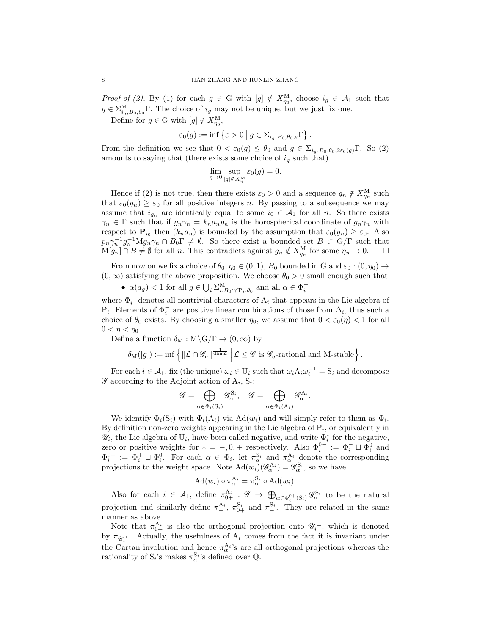*Proof of (2).* By (1) for each  $g \in G$  with  $[g] \notin X_{\eta_0}^M$ , choose  $i_g \in A_1$  such that  $g \in \sum_{i_g, B_0, \theta_0}^{\text{M}} \Gamma$ . The choice of  $i_g$  may not be unique, but we just fix one. Define for  $g \in G$  with  $[g] \notin X_{\eta_0}^M$ ,

$$
\varepsilon_0(g) := \inf \left\{ \varepsilon > 0 \mid g \in \Sigma_{i_g, B_0, \theta_0, \varepsilon} \Gamma \right\}.
$$

From the definition we see that  $0 < \varepsilon_0(g) \leq \theta_0$  and  $g \in \Sigma_{i_q, B_0, \theta_0, 2\varepsilon_0(g)}\Gamma$ . So (2) amounts to saying that (there exists some choice of  $i<sub>g</sub>$  such that)

$$
\lim_{\eta \to 0} \sup_{[g] \notin X_{\eta}^{\mathcal{M}}} \varepsilon_0(g) = 0.
$$

Hence if (2) is not true, then there exists  $\varepsilon_0 > 0$  and a sequence  $g_n \notin X_{\eta_n}^{\mathcal{M}}$  such that  $\varepsilon_0(g_n) \geq \varepsilon_0$  for all positive integers n. By passing to a subsequence we may assume that  $i_{g_n}$  are identically equal to some  $i_0 \in A_1$  for all n. So there exists  $\gamma_n \in \Gamma$  such that if  $g_n \gamma_n = k_n a_n p_n$  is the horospherical coordinate of  $g_n \gamma_n$  with respect to  $\mathbf{P}_{i_0}$  then  $(k_na_n)$  is bounded by the assumption that  $\varepsilon_0(g_n) \geq \varepsilon_0$ . Also  $p_n \gamma_n^{-1} g_n^{-1} M g_n \gamma_n \cap B_0 \Gamma \neq \emptyset$ . So there exist a bounded set  $B \subset G/\Gamma$  such that  $M[g_n] \cap B \neq \emptyset$  for all n. This contradicts against  $g_n \notin X_{\eta_n}^M$  for some  $\eta_n \to 0$ .  $\Box$ 

From now on we fix a choice of  $\theta_0, \eta_0 \in (0, 1)$ ,  $B_0$  bounded in G and  $\varepsilon_0 : (0, \eta_0) \to$  $(0, \infty)$  satisfying the above proposition. We choose  $\theta_0 > 0$  small enough such that

•  $\alpha(a_g) < 1$  for all  $g \in \bigcup_i \sum_{i,B_0 \cap \mathcal{P}_i,\theta_0}^{\mathcal{M}}$  and all  $\alpha \in \Phi_i^-$ 

where  $\Phi_i^-$  denotes all nontrivial characters of  $\mathbf{A}_i$  that appears in the Lie algebra of P<sub>i</sub>. Elements of  $\Phi_i^-$  are positive linear combinations of those from ∆<sub>i</sub>, thus such a choice of  $\theta_0$  exists. By choosing a smaller  $\eta_0$ , we assume that  $0 < \varepsilon_0(\eta) < 1$  for all  $0 < \eta < \eta_0$ .

Define a function  $\delta_M : M \backslash G / \Gamma \to (0, \infty)$  by

$$
\delta_{\mathrm{M}}([g]):=\inf\left\{\|\mathcal{L}\cap\mathscr{G}_{g}\|^{\frac{1}{\dim\mathcal{L}}}\,\middle|\,\mathcal{L}\leq\mathscr{G}\,\,\text{is}\,\mathscr{G}_{g}\text{-rational and M-stable}\right\}.
$$

For each  $i \in \mathcal{A}_1$ , fix (the unique)  $\omega_i \in U_i$  such that  $\omega_i A_i \omega_i^{-1} = S_i$  and decompose  $\mathscr G$  according to the Adjoint action of  $A_i$ ,  $S_i$ :

$$
\mathscr{G} = \bigoplus_{\alpha \in \Phi_i(S_i)} \mathscr{G}_{\alpha}^{S_i}, \quad \mathscr{G} = \bigoplus_{\alpha \in \Phi_i(A_i)} \mathscr{G}_{\alpha}^{A_i}.
$$

We identify  $\Phi_i(S_i)$  with  $\Phi_i(A_i)$  via  $\text{Ad}(w_i)$  and will simply refer to them as  $\Phi_i$ . By definition non-zero weights appearing in the Lie algebra of  $P_i$ , or equivalently in  $\mathscr{U}_i$ , the Lie algebra of  $U_i$ , have been called negative, and write  $\Phi_i^*$  for the negative, zero or positive weights for  $* = -0, +$  respectively. Also  $\Phi_i^{0-} := \Phi_i^{-} \sqcup \Phi_i^{0}$  and  $\Phi_i^{0+} := \Phi_i^+ \sqcup \Phi_i^0$ . For each  $\alpha \in \Phi_i$ , let  $\pi_\alpha^{S_i}$  and  $\pi_\alpha^{A_i}$  denote the corresponding projections to the weight space. Note  $\text{Ad}(w_i)(\mathscr{G}_{\alpha}^{\mathbf{A}_i}) = \mathscr{G}_{\alpha}^{\mathbf{S}_i}$ , so we have

$$
\mathrm{Ad}(w_i) \circ \pi_\alpha^{\mathcal{A}_i} = \pi_\alpha^{\mathcal{S}_i} \circ \mathrm{Ad}(w_i).
$$

Also for each  $i \in \mathcal{A}_1$ , define  $\pi_{0+}^{A_i} : \mathscr{G} \to \bigoplus_{\alpha \in \Phi_i^{0+}(S_i)} \mathscr{G}_{\alpha}^{S_i}$  to be the natural projection and similarly define  $\pi_{-}^{\mathbf{A}_i}$ ,  $\pi_{0+}^{\mathbf{S}_i}$  and  $\pi_{-}^{\mathbf{S}_i}$ . They are related in the same manner as above.

Note that  $\pi_{0+}^{A_i}$  is also the orthogonal projection onto  $\mathscr{U}_i^{\perp}$ , which is denoted by  $\pi_{\mathscr{U}_i^{\perp}}$ . Actually, the usefulness of  $A_i$  comes from the fact it is invariant under the Cartan involution and hence  $\pi_{\alpha}^{\mathbf{A}_{i}}$ 's are all orthogonal projections whereas the rationality of  $S_i$ 's makes  $\pi_\alpha^{S_i}$ 's defined over  $\mathbb{Q}$ .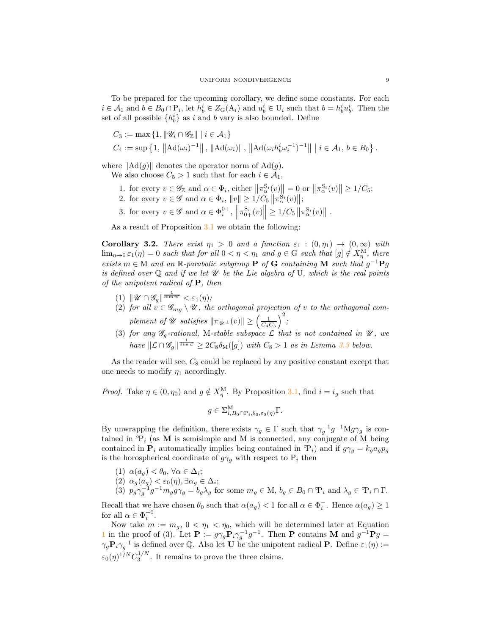To be prepared for the upcoming corollary, we define some constants. For each  $i \in A_1$  and  $b \in B_0 \cap P_i$ , let  $h_b^i \in Z_G(A_i)$  and  $u_b^i \in U_i$  such that  $b = h_b^i u_b^i$ . Then the set of all possible  $\{h_b^i\}$  as i and b vary is also bounded. Define

$$
C_3 := \max\left\{1, \|\mathcal{U}_i \cap \mathcal{G}_{\mathbb{Z}}\| \mid i \in \mathcal{A}_1\right\}
$$
  

$$
C_4 := \sup\left\{1, \|\mathrm{Ad}(\omega_i)^{-1}\|, \|\mathrm{Ad}(\omega_i)\|, \|\mathrm{Ad}(\omega_i h_b^i \omega_i^{-1})^{-1}\| \mid i \in \mathcal{A}_1, b \in B_0\right\}.
$$

where  $\|\text{Ad}(g)\|$  denotes the operator norm of  $\text{Ad}(g)$ .

- We also choose  $C_5 > 1$  such that for each  $i \in \mathcal{A}_1$ ,
	- 1. for every  $v \in \mathscr{G}_{\mathbb{Z}}$  and  $\alpha \in \Phi_i$ , either  $\left\|\pi_{\alpha}^{S_i}(v)\right\| = 0$  or  $\left\|\pi_{\alpha}^{S_i}(v)\right\| \geq 1/C_5$ ;
	- 2. for every  $v \in \mathscr{G}$  and  $\alpha \in \Phi_i$ ,  $||v|| \ge 1/C_5 \left||\pi_{\alpha}^{S_i}(v)\right||$ ;
	- 3. for every  $v \in \mathscr{G}$  and  $\alpha \in \Phi_i^{0+}$ ,  $\left\|\pi_{0+}^{S_i}(v)\right\| \geq 1/C_5 \left\|\pi_{\alpha}^{S_i}(v)\right\|$ .

As a result of Proposition [3.1](#page-6-0) we obtain the following:

<span id="page-8-0"></span>Corollary 3.2. There exist  $\eta_1 > 0$  and a function  $\varepsilon_1 : (0, \eta_1) \to (0, \infty)$  with  $\lim_{\eta\to 0} \varepsilon_1(\eta) = 0$  such that for all  $0 < \eta < \eta_1$  and  $g \in G$  such that  $[g] \notin X_{\eta}^{\mathcal{M}}$ , there exists  $m \in M$  and an R-parabolic subgroup **P** of **G** containing **M** such that  $g^{-1}Pg$ is defined over  $\mathbb Q$  and if we let  $\mathscr U$  be the Lie algebra of U, which is the real points of the unipotent radical of  $P$ , then

- (1)  $\|\mathscr{U} \cap \mathscr{G}_{g}\|^{\frac{1}{\dim \mathscr{U}}} < \varepsilon_1(\eta);$
- (2) for all  $v \in \mathscr{G}_{mg} \setminus \mathscr{U}$ , the orthogonal projection of v to the orthogonal complement of  $\mathscr U$  satisfies  $\|\pi_{\mathscr U^{\perp}}(v)\|\geq \left(\frac{1}{C_4C_5}\right)$  $\big)^2$
- (3) for any  $\mathscr{G}_g$ -rational, M-stable subspace  $\mathcal L$  that is not contained in  $\mathscr U$ , we have  $\|\mathcal{L} \cap \mathscr{G}_{g}\|^{\frac{1}{\dim \mathcal{L}}} \geq 2C_8 \delta_{\mathrm{M}}([g])$  with  $C_8 > 1$  as in Lemma [3.3](#page-11-0) below.

As the reader will see,  $C_8$  could be replaced by any positive constant except that one needs to modify  $\eta_1$  accordingly.

*Proof.* Take  $\eta \in (0, \eta_0)$  and  $g \notin X_{\eta}^{\text{M}}$ . By Proposition [3.1,](#page-6-0) find  $i = i_g$  such that

$$
g \in \Sigma_{i,B_0 \cap P_i, \theta_0, \varepsilon_0(\eta)}^{\mathcal{M}} \Gamma.
$$

By unwrapping the definition, there exists  $\gamma_g \in \Gamma$  such that  $\gamma_g^{-1}g^{-1}Mg\gamma_g$  is contained in  ${}^{\circ}\mathcal{P}_i$  (as **M** is semisimple and M is connected, any conjugate of M being contained in  $P_i$  automatically implies being contained in  $\mathcal{P}_i$ ) and if  $g\gamma_g = k_g a_g p_g$ is the horospherical coordinate of  $g\gamma_g$  with respect to  $\mathbf{P}_i$  then

\n- (1) 
$$
\alpha(a_g) < \theta_0, \forall \alpha \in \Delta_i
$$
;
\n- (2)  $\alpha_g(a_g) < \varepsilon_0(\eta), \exists \alpha_g \in \Delta_i$ ;
\n- (3)  $p_g \gamma_g^{-1} g^{-1} m_g g \gamma_g = b_g \lambda_g$  for some  $m_g \in M$ ,  $b_g \in B_0 \cap \mathcal{P}_i$  and  $\lambda_g \in \mathcal{P}_i \cap \Gamma$ .
\n

Recall that we have chosen  $\theta_0$  such that  $\alpha(a_g) < 1$  for all  $\alpha \in \Phi_i^-$ . Hence  $\alpha(a_g) \geq 1$ for all  $\alpha \in \Phi_i^{+0}$ .

Now take  $m := m_g$ ,  $0 < \eta_1 < \eta_0$ , which will be determined later at Equation [1](#page-10-0) in the proof of (3). Let  $\mathbf{P} := g\gamma_g \mathbf{P}_i \gamma_g^{-1} g^{-1}$ . Then  $\mathbf{P}$  contains M and  $g^{-1} \mathbf{P}_g =$  $\gamma_g \mathbf{P}_i \gamma_g^{-1}$  is defined over Q. Also let U be the unipotent radical P. Define  $\varepsilon_1(\eta) :=$  $\varepsilon_0(\eta)^{1/N} C_3^{1/N}$ . It remains to prove the three claims.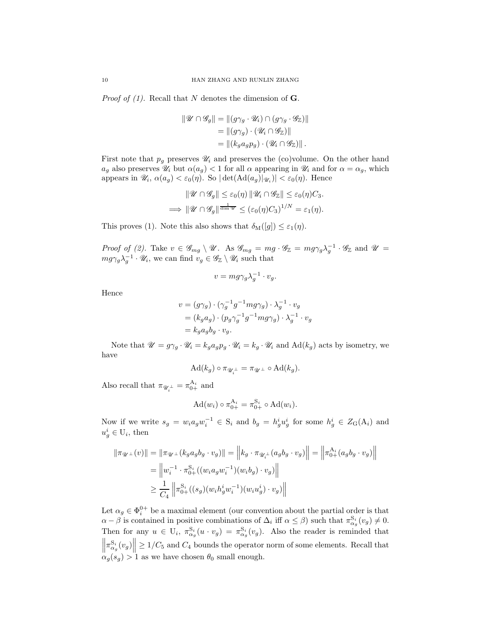*Proof of (1).* Recall that N denotes the dimension of  $\mathbf{G}$ .

$$
\begin{aligned} \|\mathscr{U} \cap \mathscr{G}_g \| &= \|(g\gamma_g \cdot \mathscr{U}_i) \cap (g\gamma_g \cdot \mathscr{G}_\mathbb{Z}) \| \\ &= \|(g\gamma_g) \cdot (\mathscr{U}_i \cap \mathscr{G}_\mathbb{Z}) \| \\ &= \|(k_g a_g p_g) \cdot (\mathscr{U}_i \cap \mathscr{G}_\mathbb{Z}) \| \,. \end{aligned}
$$

First note that  $p_q$  preserves  $\mathcal{U}_i$  and preserves the (co)volume. On the other hand  $a_g$  also preserves  $\mathscr{U}_i$  but  $\alpha(a_g) < 1$  for all  $\alpha$  appearing in  $\mathscr{U}_i$  and for  $\alpha = \alpha_g$ , which appears in  $\mathscr{U}_i$ ,  $\alpha(a_g) < \varepsilon_0(\eta)$ . So  $|\det(\text{Ad}(a_g)|_{\mathscr{U}_i})| < \varepsilon_0(\eta)$ . Hence

$$
\|\mathscr{U}\cap\mathscr{G}_g\|\leq \varepsilon_0(\eta)\|\mathscr{U}_i\cap\mathscr{G}_{\mathbb{Z}}\|\leq \varepsilon_0(\eta)C_3.
$$
  
\n
$$
\implies \|\mathscr{U}\cap\mathscr{G}_g\|^{\frac{1}{\dim \mathscr{U}}}\leq (\varepsilon_0(\eta)C_3)^{1/N}=\varepsilon_1(\eta).
$$

This proves (1). Note this also shows that  $\delta_{\mathcal{M}}([g]) \leq \varepsilon_1(\eta)$ .

Proof of (2). Take  $v \in \mathscr{G}_{mg} \setminus \mathscr{U}$ . As  $\mathscr{G}_{mg} = mg \cdot \mathscr{G}_{\mathbb{Z}} = mg \gamma_g \lambda_g^{-1} \cdot \mathscr{G}_{\mathbb{Z}}$  and  $\mathscr{U} =$  $mg\gamma_g\lambda_g^{-1}\cdot\mathscr{U}_i$ , we can find  $v_g \in \mathscr{G}_{\mathbb{Z}}\setminus\mathscr{U}_i$  such that

$$
v = mg\gamma_g \lambda_g^{-1} \cdot v_g.
$$

Hence

$$
v = (g\gamma_g) \cdot (\gamma_g^{-1}g^{-1}mg\gamma_g) \cdot \lambda_g^{-1} \cdot v_g
$$
  
=  $(k_g a_g) \cdot (p_g \gamma_g^{-1}g^{-1}mg\gamma_g) \cdot \lambda_g^{-1} \cdot v_g$   
=  $k_g a_g b_g \cdot v_g$ .

Note that  $\mathscr{U} = g\gamma_q \cdot \mathscr{U}_i = k_q a_q p_q \cdot \mathscr{U}_i = k_q \cdot \mathscr{U}_i$  and  $\text{Ad}(k_q)$  acts by isometry, we have

$$
\operatorname{Ad}(k_g)\circ \pi_{\mathscr{U}_i^{\perp}}=\pi_{\mathscr{U}^{\perp}}\circ \operatorname{Ad}(k_g).
$$

Also recall that  $\pi_{\mathscr{U}_i^{\perp}} = \pi_{0+}^{A_i}$  and

$$
Ad(w_i) \circ \pi_{0+}^{A_i} = \pi_{0+}^{S_i} \circ Ad(w_i).
$$

Now if we write  $s_g = w_i a_g w_i^{-1} \in S_i$  and  $b_g = h_g^i u_g^i$  for some  $h_g^i \in Z_G(A_i)$  and  $u_g^i \in U_i$ , then

$$
\|\pi_{\mathcal{U}^{\perp}}(v)\| = \|\pi_{\mathcal{U}^{\perp}}(k_{g}a_{g}b_{g} \cdot v_{g})\| = \left\|k_{g} \cdot \pi_{\mathcal{U}^{\perp}_{+}}(a_{g}b_{g} \cdot v_{g})\right\| = \left\|\pi_{0+}^{\mathbf{A}_{i}}(a_{g}b_{g} \cdot v_{g})\right\|
$$
  
\n
$$
= \left\|w_{i}^{-1} \cdot \pi_{0+}^{\mathbf{S}_{i}}((w_{i}a_{g}w_{i}^{-1})(w_{i}b_{g}) \cdot v_{g})\right\|
$$
  
\n
$$
\geq \frac{1}{C_{4}}\left\|\pi_{0+}^{\mathbf{S}_{i}}((s_{g})(w_{i}h_{g}^{i}w_{i}^{-1})(w_{i}u_{g}^{i}) \cdot v_{g})\right\|
$$

Let  $\alpha_g \in \Phi_i^{0+}$  be a maximal element (our convention about the partial order is that  $\alpha - \beta$  is contained in positive combinations of  $\Delta_i$  iff  $\alpha \leq \beta$ ) such that  $\pi_{\alpha_g}^{S_i}(v_g) \neq 0$ . Then for any  $u \in U_i$ ,  $\pi_{\alpha_g}^{S_i}(u \cdot v_g) = \pi_{\alpha_g}^{S_i}(v_g)$ . Also the reader is reminded that  $\left\|\pi_{\alpha_g}^{\mathcal{S}_i}(v_g)\right\| \geq 1/C_5$  and  $C_4$  bounds the operator norm of some elements. Recall that  $\alpha_g(s_g) > 1$  as we have chosen  $\theta_0$  small enough.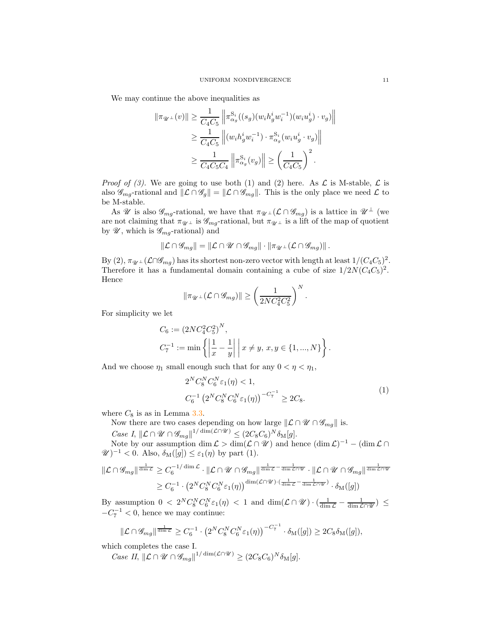We may continue the above inequalities as

$$
\|\pi_{\mathscr{U}^{\perp}}(v)\| \geq \frac{1}{C_4C_5} \left\|\pi_{\alpha_g}^{\mathcal{S}_i}((s_g)(w_i h_g^i w_i^{-1})(w_i u_g^i) \cdot v_g)\right\|
$$
  

$$
\geq \frac{1}{C_4C_5} \left\|(w_i h_g^i w_i^{-1}) \cdot \pi_{\alpha_g}^{\mathcal{S}_i}(w_i u_g^i \cdot v_g)\right\|
$$
  

$$
\geq \frac{1}{C_4C_5C_4} \left\|\pi_{\alpha_g}^{\mathcal{S}_i}(v_g)\right\| \geq \left(\frac{1}{C_4C_5}\right)^2.
$$

*Proof of (3).* We are going to use both (1) and (2) here. As  $\mathcal{L}$  is M-stable,  $\mathcal{L}$  is also  $\mathscr{G}_{mg}$ -rational and  $\|\mathcal{L} \cap \mathscr{G}_{g}\| = \|\mathcal{L} \cap \mathscr{G}_{mg}\|$ . This is the only place we need  $\mathcal{L}$  to be M-stable.

As U is also  $\mathscr{G}_{mq}$ -rational, we have that  $\pi_{\mathscr{U}^\perp}(\mathcal{L} \cap \mathscr{G}_{mq})$  is a lattice in  $\mathscr{U}^\perp$  (we are not claiming that  $\pi_{\mathcal{U}}$  is  $\mathcal{G}_{mg}$ -rational, but  $\pi_{\mathcal{U}}$  is a lift of the map of quotient by  $\mathscr{U}$ , which is  $\mathscr{G}_{mg}\text{-rational}$  and

$$
\|\mathcal{L}\cap\mathscr{G}_{mg}\|=\|\mathcal{L}\cap\mathscr{U}\cap\mathscr{G}_{mg}\|\cdot\|\pi_{\mathscr{U}^\perp}(\mathcal{L}\cap\mathscr{G}_{mg})\|.
$$

By (2),  $\pi_{\mathscr{U}^{\perp}}(\mathcal{L}\cap\mathscr{G}_{mg})$  has its shortest non-zero vector with length at least  $1/(C_4C_5)^2$ . Therefore it has a fundamental domain containing a cube of size  $1/2N(C_4C_5)^2$ . Hence

$$
\|\pi_{\mathscr{U}^\perp}(\mathcal{L}\cap\mathscr{G}_{mg})\| \ge \left(\frac{1}{2NC_4^2C_5^2}\right)^N.
$$

For simplicity we let

$$
C_6 := (2NC_4^2 C_5^2)^N,
$$
  
\n
$$
C_7^{-1} := \min \left\{ \left| \frac{1}{x} - \frac{1}{y} \right| \middle| x \neq y, x, y \in \{1, ..., N\} \right\}.
$$

And we choose  $\eta_1$  small enough such that for any  $0 < \eta < \eta_1$ ,

<span id="page-10-0"></span>
$$
2^{N}C_{8}^{N}C_{6}^{N}\varepsilon_{1}(\eta) < 1,
$$
  
\n
$$
C_{6}^{-1} \left(2^{N}C_{8}^{N}C_{6}^{N}\varepsilon_{1}(\eta)\right)^{-C_{7}^{-1}} \ge 2C_{8}.
$$
\n(1)

where  $C_8$  is as in Lemma [3.3.](#page-11-0)

Now there are two cases depending on how large  $\Vert \mathcal{L} \cap \mathcal{U} \cap \mathcal{G}_{mg} \Vert$  is.

Case I,  $\|\mathcal{L} \cap \mathcal{U} \cap \mathcal{G}_{mg}\right\|^{1/\dim(\mathcal{L} \cap \mathcal{U})} \leq (2C_8C_6)^N \delta_M[g].$ 

Note by our assumption  $\dim \mathcal{L} > \dim(\mathcal{L} \cap \mathcal{U})$  and hence  $(\dim \mathcal{L})^{-1} - (\dim \mathcal{L} \cap \mathcal{U})$  $\mathscr{U})^{-1} < 0.$  Also,  $\delta_{\mathcal{M}}([g]) \leq \varepsilon_1(\eta)$  by part (1).

$$
\mathcal{L} \cap \mathscr{G}_{mg} \|^{\frac{1}{\dim \mathcal{L}}} \geq C_6^{-1/\dim \mathcal{L}} \cdot \mathcal{L} \cap \mathscr{U} \cap \mathscr{G}_{mg} \|^{\frac{1}{\dim \mathcal{L}} - \frac{1}{\dim \mathcal{L} \cap \mathscr{U}}} \cdot \mathcal{L} \cap \mathscr{U} \cap \mathscr{G}_{mg} \|^{\frac{1}{\dim \mathcal{L} \cap \mathscr{U}}} \geq C_6^{-1} \cdot \left(2^N C_8^N C_6^N \varepsilon_1(\eta)\right)^{\dim(\mathcal{L} \cap \mathscr{U}) \cdot (\frac{1}{\dim \mathcal{L}} - \frac{1}{\dim \mathcal{L} \cap \mathscr{U}})} \cdot \delta_M([g])
$$

By assumption  $0 < 2^N C_8^N C_6^N \varepsilon_1(\eta) < 1$  and  $\dim(\mathcal{L} \cap \mathcal{U}) \cdot (\frac{1}{\dim \mathcal{L}} - \frac{1}{\dim \mathcal{L} \cap \mathcal{U}}) \leq$  $-C_7^{-1}$  < 0, hence we may continue:

$$
\|\mathcal{L}\cap\mathscr{G}_{mg}\|^{\frac{1}{\dim\mathcal{L}}}\geq C_6^{-1}\cdot\left(2^NC_8^NC_6^N\varepsilon_1(\eta)\right)^{-C_7^{-1}}\cdot\delta_{\mathcal{M}}([g])\geq 2C_8\delta_{\mathcal{M}}([g]),
$$

which completes the case I.

Case II,  $\|\mathcal{L} \cap \mathscr{U} \cap \mathscr{G}_{mg}\|^{1/\dim(\mathcal{L} \cap \mathscr{U})} \geq (2C_8C_6)^N \delta_M[g].$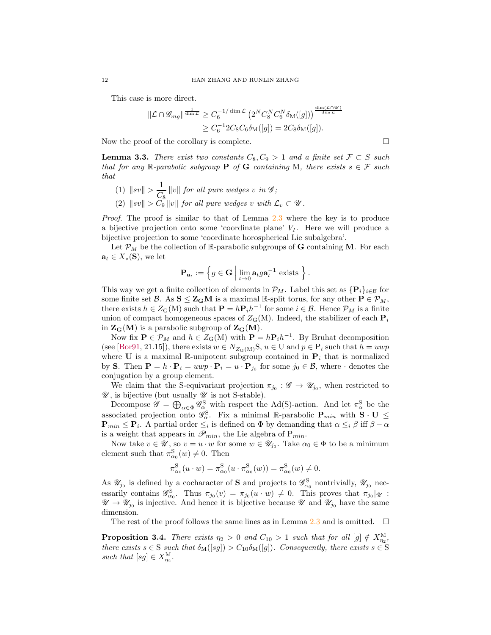This case is more direct.

$$
\mathcal{L} \cap \mathcal{G}_{mg} \|_{\text{dim }\mathcal{L}}^{\frac{1}{\dim \mathcal{L}}} \geq C_6^{-1/\dim \mathcal{L}} \left( 2^N C_8^N C_6^N \delta_M([g]) \right)^{\frac{\dim (\mathcal{L} \cap \mathcal{U})}{\dim \mathcal{L}}}
$$
  

$$
\geq C_6^{-1} 2C_8 C_6 \delta_M([g]) = 2C_8 \delta_M([g]).
$$

Now the proof of the corollary is complete.  $\Box$ 

<span id="page-11-0"></span>**Lemma 3.3.** There exist two constants  $C_8, C_9 > 1$  and a finite set  $\mathcal{F} \subset S$  such that for any R-parabolic subgroup **P** of **G** containing M, there exists  $s \in \mathcal{F}$  such that

(1)  $\|sv\| > \frac{1}{\alpha}$  $\frac{1}{C_8}$  ||v|| for all pure wedges v in  $\mathscr{G}$ ; (2)  $\|sv\| > C_9 \|v\|$  for all pure wedges v with  $\mathcal{L}_v \subset \mathcal{U}$ .

Proof. The proof is similar to that of Lemma [2.3](#page-3-1) where the key is to produce a bijective projection onto some 'coordinate plane'  $V_I$ . Here we will produce a bijective projection to some 'coordinate horospherical Lie subalgebra'.

Let  $\mathcal{P}_M$  be the collection of R-parabolic subgroups of **G** containing **M**. For each  $\mathbf{a}_t \in X_*(\mathbf{S}),$  we let

$$
\mathbf{P}_{\mathbf{a}_t} := \Big\{ g \in \mathbf{G} \; \Big| \; \lim_{t \to 0} \mathbf{a}_t g \mathbf{a}_t^{-1} \text{ exists } \Big\} \,.
$$

This way we get a finite collection of elements in  $\mathcal{P}_M$ . Label this set as  $\{P_i\}_{i\in\mathcal{B}}$  for some finite set B. As  $S \leq Z_G M$  is a maximal R-split torus, for any other  $P \in \mathcal{P}_M$ , there exists  $h \in Z_G(M)$  such that  $\mathbf{P} = h \mathbf{P}_i h^{-1}$  for some  $i \in \mathcal{B}$ . Hence  $\mathcal{P}_M$  is a finite union of compact homogeneous spaces of  $Z_G(M)$ . Indeed, the stabilizer of each  $P_i$ in  $\mathbf{Z}_{\mathbf{G}}(\mathbf{M})$  is a parabolic subgroup of  $\mathbf{Z}_{\mathbf{G}}(\mathbf{M})$ .

Now fix  $\mathbf{P} \in \mathcal{P}_M$  and  $h \in Z_G(M)$  with  $\mathbf{P} = h\mathbf{P}_i h^{-1}$ . By Bruhat decomposition (see [\[Bor91,](#page-18-10) 21.15]), there exists  $w \in N_{Z_G(M)}S$ ,  $u \in U$  and  $p \in P_i$  such that  $h = uwp$ where U is a maximal R-unipotent subgroup contained in  $P_i$  that is normalized by S. Then  $\mathbf{P} = h \cdot \mathbf{P}_i = u \cdot \mathbf{P}_i = u \cdot \mathbf{P}_{j_0}$  for some  $j_0 \in \mathcal{B}$ , where  $\cdot$  denotes the conjugation by a group element.

We claim that the S-equivariant projection  $\pi_{j_0} : \mathscr{G} \to \mathscr{U}_{j_0}$ , when restricted to  $\mathscr{U}$ , is bijective (but usually  $\mathscr{U}$  is not S-stable).

Decompose  $\mathscr{G} = \bigoplus_{\alpha \in \Phi} \mathscr{G}_{\alpha}^S$  with respect the Ad(S)-action. And let  $\pi_{\alpha}^S$  be the associated projection onto  $\mathscr{G}_{\alpha}^{\mathcal{S}}$ . Fix a minimal R-parabolic  $\mathbf{P}_{min}$  with  $\mathbf{S} \cdot \mathbf{U} \leq$  $\mathbf{P}_{min} \leq \mathbf{P}_i$ . A partial order  $\leq_i$  is defined on  $\Phi$  by demanding that  $\alpha \leq_i \beta$  iff  $\beta - \alpha$ is a weight that appears in  $\mathscr{P}_{min}$ , the Lie algebra of  $P_{min}$ .

Now take  $v \in \mathcal{U}$ , so  $v = u \cdot w$  for some  $w \in \mathcal{U}_{j_0}$ . Take  $\alpha_0 \in \Phi$  to be a minimum element such that  $\pi_{\alpha_0}^S(w) \neq 0$ . Then

$$
\pi_{\alpha_0}^{\rm S}(u \cdot w) = \pi_{\alpha_0}^{\rm S}(u \cdot \pi_{\alpha_0}^{\rm S}(w)) = \pi_{\alpha_0}^{\rm S}(w) \neq 0.
$$

As  $\mathscr{U}_{j_0}$  is defined by a cocharacter of **S** and projects to  $\mathscr{G}_{\alpha_0}^S$  nontrivially,  $\mathscr{U}_{j_0}$  necessarily contains  $\mathscr{G}_{\alpha_0}^S$ . Thus  $\pi_{j_0}(v) = \pi_{j_0}(u \cdot w) \neq 0$ . This proves that  $\pi_{j_0}|_{\mathscr{U}}$ :  $\mathscr{U} \to \mathscr{U}_{j_0}$  is injective. And hence it is bijective because  $\mathscr{U}$  and  $\mathscr{U}_{j_0}$  have the same dimension.

The rest of the proof follows the same lines as in Lemma [2.3](#page-3-1) and is omitted.  $\square$ 

**Proposition 3.4.** There exists  $\eta_2 > 0$  and  $C_{10} > 1$  such that for all  $[g] \notin X_{\eta_2}^M$ , there exists  $s \in S$  such that  $\delta_M(|sg|) > C_{10}\delta_M(|g|)$ . Consequently, there exists  $s \in S$ such that  $[sg] \in X_{\eta_2}^{\text{M}}$ .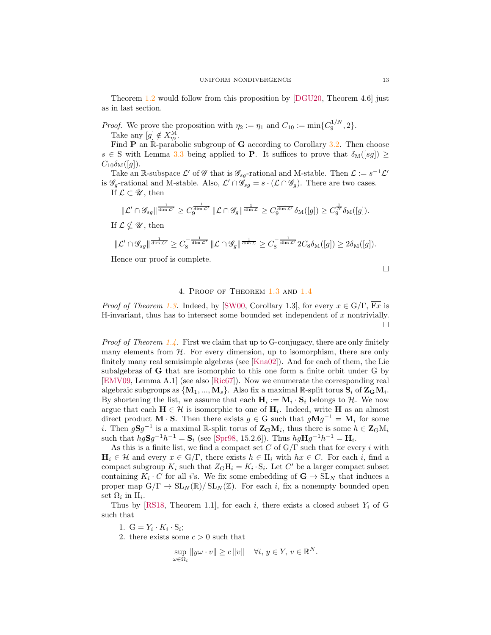Theorem [1.2](#page-1-3) would follow from this proposition by [\[DGU20,](#page-18-5) Theorem 4.6] just as in last section.

*Proof.* We prove the proposition with  $\eta_2 := \eta_1$  and  $C_{10} := \min\{C_9^{1/N}, 2\}.$ Take any  $[g] \notin X_{\eta_2}^{\text{M}}$ .

Find  $P$  an  $\mathbb R$ -parabolic subgroup of  $G$  according to Corollary [3.2.](#page-8-0) Then choose  $s \in S$  with Lemma [3.3](#page-11-0) being applied to **P**. It suffices to prove that  $\delta_M([sg]) \geq$  $C_{10}\delta_{\rm M}([q]).$ 

Take an R-subspace  $\mathcal{L}'$  of  $\mathcal G$  that is  $\mathcal G_{sg}$ -rational and M-stable. Then  $\mathcal{L} := s^{-1} \mathcal{L}'$ is  $\mathscr{G}_g$ -rational and M-stable. Also,  $\mathcal{L}' \cap \mathscr{G}_{sg} = s \cdot (\mathcal{L} \cap \mathscr{G}_g)$ . There are two cases. If  $\mathcal{L} \subset \mathscr{U}$ , then

$$
\begin{aligned}\n\|\mathcal{L}' \cap \mathscr{G}_{sg} \|^{\frac{1}{\dim \mathcal{L}'}} &\geq C_9^{\frac{1}{\dim \mathcal{L}'}} \|\mathcal{L} \cap \mathscr{G}_g \|^{\frac{1}{\dim \mathcal{L}}} \geq C_9^{\frac{1}{\dim \mathcal{L}'}} \delta_M([g]) \geq C_9^{\frac{1}{N}} \delta_M([g]). \\
\text{If } \mathcal{L} \nsubseteq \mathscr{U}, \text{ then} \\
\|\mathcal{L}' \cap \mathscr{G}_{sg} \|^{\frac{1}{\dim \mathcal{L}'}} &\geq C_8^{-\frac{1}{\dim \mathcal{L}'}} \|\mathcal{L} \cap \mathscr{G}_g \|^{\frac{1}{\dim \mathcal{L}}} \geq C_8^{-\frac{1}{\dim \mathcal{L}'}} 2C_8 \delta_M([g]) \geq 2\delta_M([g]).\n\end{aligned}
$$

<span id="page-12-0"></span>Hence our proof is complete.

 $\Box$ 

## 4. Proof of Theorem [1.3](#page-1-1) and [1.4](#page-1-2)

*Proof of Theorem [1.3.](#page-1-1)* Indeed, by [\[SW00,](#page-19-1) Corollary 1.3], for every  $x \in G/\Gamma$ , Fx is H-invariant, thus has to intersect some bounded set independent of  $x$  nontrivially.  $\Box$ 

*Proof of Theorem [1.4.](#page-1-2)* First we claim that up to G-conjugacy, there are only finitely many elements from  $H$ . For every dimension, up to isomorphism, there are only finitely many real semisimple algebras (see [\[Kna02\]](#page-19-5)). And for each of them, the Lie subalgebras of G that are isomorphic to this one form a finite orbit under G by [\[EMV09,](#page-18-2) Lemma A.1] (see also [\[Ric67\]](#page-19-6)). Now we enumerate the corresponding real algebraic subgroups as  $\{M_1, ..., M_s\}$ . Also fix a maximal  $\mathbb{R}\text{-}split$  torus  $\mathbf{S}_i$  of  $\mathbf{Z}_\mathbf{G} \mathbf{M}_i$ . By shortening the list, we assume that each  $H_i := M_i \cdot S_i$  belongs to  $H$ . We now argue that each  $H \in \mathcal{H}$  is isomorphic to one of  $H_i$ . Indeed, write H as an almost direct product **M** · **S**. Then there exists  $g \in G$  such that  $gMg^{-1} = M_i$  for some *i*. Then  $gSg^{-1}$  is a maximal R-split torus of  $\mathbf{Z}_\mathbf{G}\mathbf{M}_i$ , thus there is some  $h \in \mathbf{Z}_\mathbf{G}\mathbf{M}_i$ such that  $hgSg^{-1}h^{-1} = S_i$  (see [\[Spr98,](#page-19-7) 15.2.6]). Thus  $hgHg^{-1}h^{-1} = H_i$ .

As this is a finite list, we find a compact set C of  $G/\Gamma$  such that for every i with  $\mathbf{H}_i \in \mathcal{H}$  and every  $x \in \mathcal{G}/\Gamma$ , there exists  $h \in \mathcal{H}_i$  with  $hx \in C$ . For each i, find a compact subgroup  $K_i$  such that  $Z_{\rm G} H_i = K_i \cdot {\rm S}_i$ . Let C' be a larger compact subset containing  $K_i \cdot C$  for all i's. We fix some embedding of  $\mathbf{G} \to \mathrm{SL}_N$  that induces a proper map  $G/\Gamma \to SL_N(\mathbb{R})/SL_N(\mathbb{Z})$ . For each i, fix a nonempty bounded open set  $\Omega_i$  in  $H_i$ .

Thus by [\[RS18,](#page-19-2) Theorem 1.1], for each i, there exists a closed subset  $Y_i$  of G such that

1.  $G = Y_i \cdot K_i \cdot S_i;$ 

2. there exists some  $c > 0$  such that

$$
\sup_{\omega \in \Omega_i} \|y\omega \cdot v\| \ge c \|v\| \quad \forall i, y \in Y, v \in \mathbb{R}^N.
$$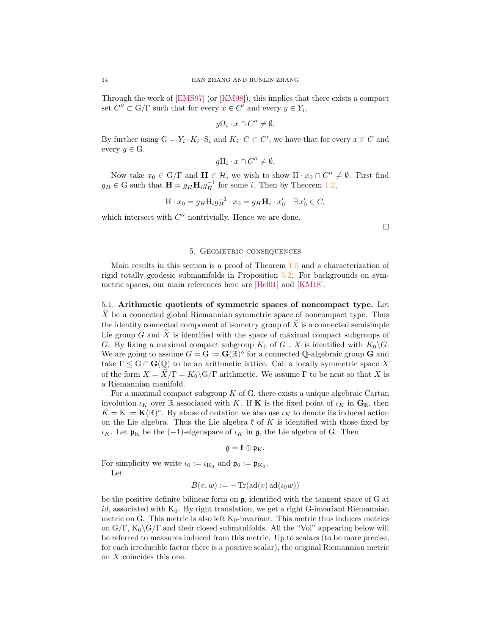Through the work of [\[EMS97\]](#page-18-11) (or [\[KM98\]](#page-18-12)), this implies that there exists a compact set  $C'' \subset G/\Gamma$  such that for every  $x \in C'$  and every  $y \in Y_i$ ,

$$
y\Omega_i \cdot x \cap C'' \neq \emptyset.
$$

By further using  $G = Y_i \cdot K_i \cdot S_i$  and  $K_i \cdot C \subset C'$ , we have that for every  $x \in C$  and every  $g \in G$ ,

$$
gH_i \cdot x \cap C'' \neq \emptyset.
$$

Now take  $x_0 \in G/\Gamma$  and  $\mathbf{H} \in \mathcal{H}$ , we wish to show  $H \cdot x_0 \cap C'' \neq \emptyset$ . First find  $g_H \in G$  such that  $\mathbf{H} = g_H \mathbf{H}_i g_H^{-1}$  for some *i*. Then by Theorem [1.2,](#page-1-3)

$$
\mathbf{H} \cdot x_0 = g_H \mathbf{H}_i g_H^{-1} \cdot x_0 = g_H \mathbf{H}_i \cdot x_0' \quad \exists x_0' \in C,
$$

<span id="page-13-0"></span>which intersect with  $C''$  nontrivially. Hence we are done.

 $\Box$ 

## 5. Geometric consequences

Main results in this section is a proof of Theorem [1.5](#page-2-3) and a characterization of rigid totally geodesic submanifolds in Proposition [5.2.](#page-14-2) For backgrounds on symmetric spaces, our main references here are [\[Hel01\]](#page-18-13) and [\[KM18\]](#page-18-14).

<span id="page-13-1"></span>5.1. Arithmetic quotients of symmetric spaces of noncompact type. Let  $X$  be a connected global Riemannian symmetric space of noncompact type. Thus the identity connected component of isometry group of  $X$  is a connected semisimple Lie group  $G$  and  $X$  is identified with the space of maximal compact subgroups of G. By fixing a maximal compact subgroup  $K_0$  of G, X is identified with  $K_0\backslash G$ . We are going to assume  $G = G := \mathbf{G}(\mathbb{R})^{\circ}$  for a connected Q-algebraic group G and take  $\Gamma \leq G \cap G(\mathbb{Q})$  to be an arithmetic lattice. Call a locally symmetric space X of the form  $X = X/\Gamma = K_0 \backslash G/\Gamma$  arithmetic. We assume  $\Gamma$  to be neat so that X is a Riemannian manifold.

For a maximal compact subgroup  $K$  of  $G$ , there exists a unique algebraic Cartan involution  $\iota_K$  over R associated with K. If **K** is the fixed point of  $\iota_K$  in  $\mathbf{G}_\mathbb{R}$ , then  $K = K := \mathbf{K}(\mathbb{R})^{\circ}$ . By abuse of notation we also use  $\iota_K$  to denote its induced action on the Lie algebra. Thus the Lie algebra  $\mathfrak k$  of K is identified with those fixed by ι<sub>K</sub>. Let  $\mathfrak{p}_K$  be the (−1)-eigenspace of  $\iota_K$  in  $\mathfrak{g}$ , the Lie algebra of G. Then

$$
\mathfrak{g}=\mathfrak{k}\oplus\mathfrak{p}_{\mathrm{K}}.
$$

For simplicity we write  $\iota_0 := \iota_{K_0}$  and  $\mathfrak{p}_0 := \mathfrak{p}_{K_0}$ .

Let

$$
B(v, w) := -\operatorname{Tr}(\operatorname{ad}(v) \operatorname{ad}(\iota_0 w))
$$

be the positive definite bilinear form on g, identified with the tangent space of G at id, associated with  $K_0$ . By right translation, we get a right G-invariant Riemannian metric on G. This metric is also left  $K_0$ -invariant. This metric thus induces metrics on  $G/\Gamma$ ,  $K_0\backslash G/\Gamma$  and their closed submanifolds. All the "Vol" appearing below will be referred to measures induced from this metric. Up to scalars (to be more precise, for each irreducible factor there is a positive scalar), the original Riemannian metric on X coincides this one.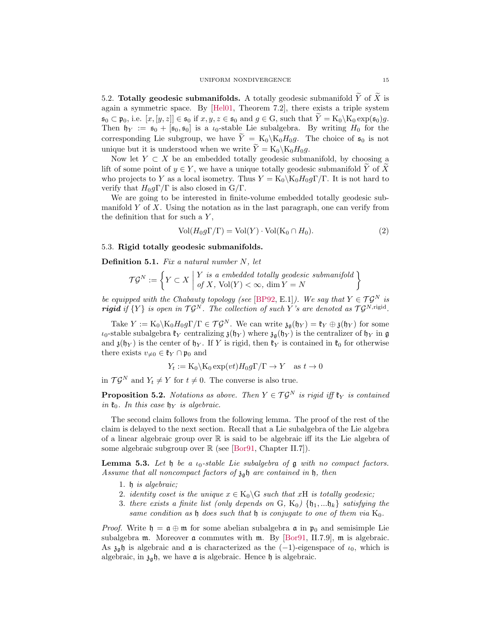<span id="page-14-0"></span>5.2. Totally geodesic submanifolds. A totally geodesic submanifold  $\overline{Y}$  of  $\overline{X}$  is again a symmetric space. By [\[Hel01,](#page-18-13) Theorem 7.2], there exists a triple system  $\mathfrak{s}_0 \subset \mathfrak{p}_0$ , i.e.  $[x, [y, z]] \in \mathfrak{s}_0$  if  $x, y, z \in \mathfrak{s}_0$  and  $g \in G$ , such that  $Y = K_0 \setminus K_0 \exp(\mathfrak{s}_0)g$ . Then  $\mathfrak{h}_Y := \mathfrak{s}_0 + [\mathfrak{s}_0, \mathfrak{s}_0]$  is a  $\iota_0$ -stable Lie subalgebra. By writing  $H_0$  for the corresponding Lie subgroup, we have  $\tilde{Y} = K_0 \backslash K_0 H_0 g$ . The choice of  $\mathfrak{s}_0$  is not unique but it is understood when we write  $\widetilde{Y} = \text{K}_0 \backslash \text{K}_0 H_0 g$ .

Now let  $Y \subset X$  be an embedded totally geodesic submanifold, by choosing a lift of some point of  $y \in Y$ , we have a unique totally geodesic submanifold Y of X who projects to Y as a local isometry. Thus  $Y = K_0 \backslash K_0 H_0 g \Gamma / \Gamma$ . It is not hard to verify that  $H_0 q \Gamma / \Gamma$  is also closed in  $G/\Gamma$ .

We are going to be interested in finite-volume embedded totally geodesic submanifold  $Y$  of  $X$ . Using the notation as in the last paragraph, one can verify from the definition that for such a  $Y$ ,

<span id="page-14-3"></span>
$$
Vol(H_0g\Gamma/\Gamma) = Vol(Y) \cdot Vol(K_0 \cap H_0).
$$
 (2)

### <span id="page-14-1"></span>5.3. Rigid totally geodesic submanifolds.

**Definition 5.1.** Fix a natural number  $N$ , let

$$
\mathcal{T}\mathcal{G}^N:=\left\{Y\subset X\;\middle|\; \begin{matrix}Y\;\;is\;\;a\;\;embedded\; totally\;\;geodesic\;\;submanifold\\ \;of\;X\,,\;\mathrm{Vol}(Y)<\infty\,,\;\dim Y=N\end{matrix}\right\}
$$

be equipped with the Chabauty topology (see [\[BP92,](#page-18-15) E.1]). We say that  $Y \in \mathcal{T} \mathcal{G}^N$  is **rigid** if  $\{Y\}$  is open in  $\mathcal{T}\mathcal{G}^N$ . The collection of such Y's are denoted as  $\mathcal{T}\mathcal{G}^{N,\text{rigid}}$ .

Take  $Y := K_0 \backslash K_0 H_0 g \Gamma / \Gamma \in \mathcal{T} \mathcal{G}^N$ . We can write  $\mathfrak{z}_{\mathfrak{g}}(\mathfrak{h}_Y) = \mathfrak{k}_Y \oplus \mathfrak{z}(\mathfrak{h}_Y)$  for some  $\iota_0$ -stable subalgebra  $\mathfrak{k}_Y$  centralizing  $\mathfrak{z}(\mathfrak{h}_Y)$  where  $\mathfrak{z}_{\mathfrak{g}}(\mathfrak{h}_Y)$  is the centralizer of  $\mathfrak{h}_Y$  in  $\mathfrak{g}$ and  $\mathfrak{z}(\mathfrak{h}_Y)$  is the center of  $\mathfrak{h}_Y$ . If Y is rigid, then  $\mathfrak{k}_Y$  is contained in  $\mathfrak{k}_0$  for otherwise there exists  $v_{\neq 0} \in \mathfrak{k}_Y \cap \mathfrak{p}_0$  and

$$
Y_t := K_0 \backslash K_0 \exp(vt) H_0 g \Gamma / \Gamma \to Y \quad \text{as } t \to 0
$$

in  $\mathcal{T}\mathcal{G}^N$  and  $Y_t \neq Y$  for  $t \neq 0$ . The converse is also true.

<span id="page-14-2"></span>**Proposition 5.2.** Notations as above. Then  $Y \in \mathcal{T} \mathcal{G}^N$  is rigid iff  $\mathfrak{k}_Y$  is contained in  $\mathfrak{k}_0$ . In this case  $\mathfrak{h}_Y$  is algebraic.

The second claim follows from the following lemma. The proof of the rest of the claim is delayed to the next section. Recall that a Lie subalgebra of the Lie algebra of a linear algebraic group over  $\mathbb R$  is said to be algebraic iff its the Lie algebra of some algebraic subgroup over  $\mathbb R$  (see [\[Bor91,](#page-18-10) Chapter II.7]).

<span id="page-14-4"></span>**Lemma 5.3.** Let  $\mathfrak{h}$  be a  $\iota_0$ -stable Lie subalgebra of  $\mathfrak{g}$  with no compact factors. Assume that all noncompact factors of  $\mathfrak{z}_{\mathfrak{a}}\mathfrak{h}$  are contained in  $\mathfrak{h}$ , then

- 1. h is algebraic;
- 2. identity coset is the unique  $x \in K_0 \backslash G$  such that xH is totally geodesic;
- 3. there exists a finite list (only depends on G,  $K_0$ )  $\{\mathfrak{h}_1, \ldots, \mathfrak{h}_k\}$  satisfying the same condition as  $\mathfrak h$  does such that  $\mathfrak h$  is conjugate to one of them via  $K_0$ .

*Proof.* Write  $\mathfrak{h} = \mathfrak{a} \oplus \mathfrak{m}$  for some abelian subalgebra  $\mathfrak{a}$  in  $\mathfrak{p}_0$  and semisimple Lie subalgebra  $m$ . Moreover  $\alpha$  commutes with  $m$ . By [\[Bor91,](#page-18-10) II.7.9],  $m$  is algebraic. As  $\lambda_{\alpha}$  is algebraic and  $\alpha$  is characterized as the (−1)-eigenspace of  $\iota_0$ , which is algebraic, in  $\mathfrak{z}_{\mathfrak{g}}\mathfrak{h},$  we have  $\mathfrak a$  is algebraic. Hence  $\mathfrak h$  is algebraic.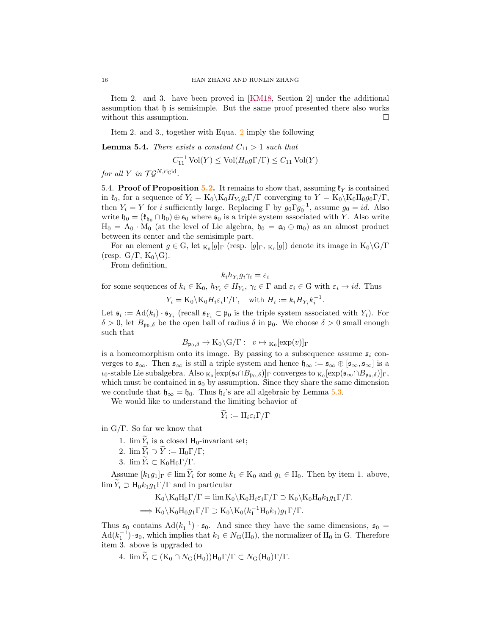Item 2. and 3. have been proved in [\[KM18,](#page-18-14) Section 2] under the additional assumption that h is semisimple. But the same proof presented there also works without this assumption.  $\Box$ 

Item 2. and 3., together with Equa. [2](#page-14-3) imply the following

<span id="page-15-1"></span>**Lemma 5.4.** There exists a constant  $C_{11} > 1$  such that

$$
C_{11}^{-1} \text{ Vol}(Y) \le \text{Vol}(H_0 g \Gamma/\Gamma) \le C_{11} \text{ Vol}(Y)
$$

<span id="page-15-0"></span>for all Y in  $\mathcal{T}\mathcal{G}^{N,\text{rigid}}$ .

5.4. **Proof of Proposition [5.2.](#page-14-2)** It remains to show that, assuming  $\mathfrak{k}_Y$  is contained in  $\mathfrak{k}_0$ , for a sequence of  $Y_i = K_0 \backslash K_0 H_{Y_i} g_i \Gamma / \Gamma$  converging to  $Y = K_0 \backslash K_0 H_0 g_0 \Gamma / \Gamma$ , then  $Y_i = Y$  for i sufficiently large. Replacing  $\Gamma$  by  $g_0 \Gamma g_0^{-1}$ , assume  $g_0 = id$ . Also write  $\mathfrak{h}_0 = (\mathfrak{k}_{\mathfrak{h}_0} \cap \mathfrak{h}_0) \oplus \mathfrak{s}_0$  where  $\mathfrak{s}_0$  is a triple system associated with Y. Also write  $H_0 = A_0 \cdot M_0$  (at the level of Lie algebra,  $\mathfrak{h}_0 = \mathfrak{a}_0 \oplus \mathfrak{m}_0$ ) as an almost product between its center and the semisimple part.

For an element  $g \in G$ , let  $_{K_0}[g]_\Gamma$  (resp.  $[g]_\Gamma$ ,  $_{K_0}[g]$ ) denote its image in  $K_0 \backslash G/\Gamma$ (resp.  $G/\Gamma$ ,  $K_0 \backslash G$ ).

From definition,

$$
k_i h_{Y_i} g_i \gamma_i = \varepsilon_i
$$

for some sequences of  $k_i \in K_0$ ,  $h_{Y_i} \in H_{Y_i}$ ,  $\gamma_i \in \Gamma$  and  $\varepsilon_i \in G$  with  $\varepsilon_i \to id$ . Thus

$$
Y_i = K_0 \backslash K_0 H_i \varepsilon_i \Gamma / \Gamma
$$
, with  $H_i := k_i H_{Y_i} k_i^{-1}$ .

Let  $\mathfrak{s}_i := \text{Ad}(k_i) \cdot \mathfrak{s}_{Y_i}$  (recall  $\mathfrak{s}_{Y_i} \subset \mathfrak{p}_0$  is the triple system associated with  $Y_i$ ). For  $\delta > 0$ , let  $B_{p_0,\delta}$  be the open ball of radius  $\delta$  in  $p_0$ . We choose  $\delta > 0$  small enough such that

$$
B_{\mathfrak{p}_0,\delta} \to \mathcal{K}_0 \backslash \mathcal{G}/\Gamma : v \mapsto \mathcal{K}_0[\exp(v)]_{\Gamma}
$$

is a homeomorphism onto its image. By passing to a subsequence assume  $s_i$  converges to  $\mathfrak{s}_{\infty}$ . Then  $\mathfrak{s}_{\infty}$  is still a triple system and hence  $\mathfrak{h}_{\infty} := \mathfrak{s}_{\infty} \oplus [\mathfrak{s}_{\infty}, \mathfrak{s}_{\infty}]$  is a  $\iota_0$ -stable Lie subalgebra. Also  $_{K_0}[\exp(\mathfrak{s}_i \cap B_{\mathfrak{p}_0, \delta})]$ <sub>Γ</sub> converges to  $_{K_0}[\exp(\mathfrak{s}_{\infty} \cap B_{\mathfrak{p}_0, \delta})]_$ Γ, which must be contained in  $\mathfrak{s}_0$  by assumption. Since they share the same dimension we conclude that  $\mathfrak{h}_{\infty} = \mathfrak{h}_0$ . Thus  $\mathfrak{h}_i$ 's are all algebraic by Lemma [5.3.](#page-14-4)

We would like to understand the limiting behavior of

$$
Y_i := \mathrm{H}_i \varepsilon_i \Gamma / \Gamma
$$

in  $G/\Gamma$ . So far we know that

- 1.  $\lim Y_i$  is a closed H<sub>0</sub>-invariant set;
- 2.  $\lim \widetilde{Y}_i \supset \widetilde{Y} := \mathrm{H}_0 \Gamma / \Gamma;$
- 3.  $\lim \widetilde{Y}_i \subset K_0 H_0 \Gamma / \Gamma$ .

Assume  $[k_1g_1]_\Gamma \in \lim \widetilde{Y}_i$  for some  $k_1 \in K_0$  and  $g_1 \in H_0$ . Then by item 1. above,  $\lim Y_i \supset H_0 k_1 g_1 \Gamma / \Gamma$  and in particular

$$
K_0 \setminus K_0 H_0 \Gamma / \Gamma = \lim K_0 \setminus K_0 H_i \varepsilon_i \Gamma / \Gamma \supset K_0 \setminus K_0 H_0 k_1 g_1 \Gamma / \Gamma.
$$
  

$$
\implies K_0 \setminus K_0 H_0 g_1 \Gamma / \Gamma \supset K_0 \setminus K_0 (k_1^{-1} H_0 k_1) g_1 \Gamma / \Gamma.
$$

Thus  $\mathfrak{s}_0$  contains  $\text{Ad}(k_1^{-1}) \cdot \mathfrak{s}_0$ . And since they have the same dimensions,  $\mathfrak{s}_0 =$  $\text{Ad}(k_1^{-1}) \cdot \mathfrak{s}_0$ , which implies that  $k_1 \in N_G(\text{H}_0)$ , the normalizer of  $\text{H}_0$  in G. Therefore item 3. above is upgraded to

4.  $\lim \widetilde{Y}_i \subset (K_0 \cap N_G(H_0))H_0\Gamma/\Gamma \subset N_G(H_0)\Gamma/\Gamma.$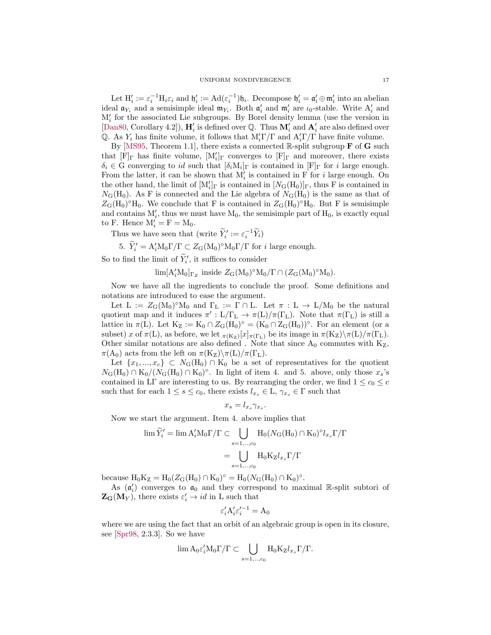Let  $H'_i := \varepsilon_i^{-1} H_i \varepsilon_i$  and  $\mathfrak{h}'_i := \text{Ad}(\varepsilon_i^{-1}) \mathfrak{h}_i$ . Decompose  $\mathfrak{h}'_i = \mathfrak{a}'_i \oplus \mathfrak{m}'_i$  into an abelian ideal  $\mathfrak{a}_{Y_i}$  and a semisimple ideal  $\mathfrak{m}_{Y_i}$ . Both  $\mathfrak{a}'_i$  and  $\mathfrak{m}'_i$  are  $\iota_0$ -stable. Write  $A'_i$  and M′ i for the associated Lie subgroups. By Borel density lemma (use the version in [\[Dan80,](#page-18-16) Corollary 4.2]),  $\mathbf{H}'_i$  is defined over Q. Thus  $\mathbf{M}'_i$  and  $\mathbf{A}'_i$  are also defined over Q. As  $Y_i$  has finite volume, it follows that  $M'_i\Gamma/\Gamma$  and  $A'_i\Gamma/\Gamma$  have finite volume.

By [\[MS95,](#page-19-8) Theorem 1.1], there exists a connected R-split subgroup  $\bf{F}$  of  $\bf{G}$  such that  $[F]_{\Gamma}$  has finite volume,  $[M'_i]_{\Gamma}$  converges to  $[F]_{\Gamma}$  and moreover, there exists  $\delta_i \in G$  converging to id such that  $[\delta_i M_i]_{\Gamma}$  is contained in  $[F]_{\Gamma}$  for i large enough. From the latter, it can be shown that  $M'_{i}$  is contained in F for *i* large enough. On the other hand, the limit of  $[M'_i]_\Gamma$  is contained in  $[N_G(H_0)]_\Gamma$ , thus F is contained in  $N_{\rm G}({\rm H_0})$ . As F is connected and the Lie algebra of  $N_{\rm G}({\rm H_0})$  is the same as that of  $Z_{\text{G}}(\text{H}_0)^\circ \text{H}_0$ . We conclude that F is contained in  $Z_{\text{G}}(\text{H}_0)^\circ \text{H}_0$ . But F is semisimple and contains  $M'_i$ , thus we must have  $M_0$ , the semisimple part of  $H_0$ , is exactly equal to F. Hence  $M'_i = F = M_0$ .

Thus we have seen that (write  $\widetilde{Y}'_i := \varepsilon_i^{-1} \widetilde{Y}_i$ )

5.  $\tilde{Y}'_i = A'_i M_0 \Gamma / \Gamma \subset Z_G (M_0)^{\circ} M_0 \Gamma / \Gamma$  for *i* large enough.

So to find the limit of  $\tilde{Y}'_i$ , it suffices to consider

 $\lim [A'_i M_0]_{\Gamma_Z}$  inside  $Z_G (M_0)^{\circ} M_0 / \Gamma \cap (Z_G (M_0)^{\circ} M_0)$ .

Now we have all the ingredients to conclude the proof. Some definitions and notations are introduced to ease the argument.

Let  $L := Z_G(M_0)^\circ M_0$  and  $\Gamma_L := \Gamma \cap L$ . Let  $\pi : L \to L/M_0$  be the natural quotient map and it induces  $\pi' : L/\Gamma_L \to \pi(L)/\pi(\Gamma_L)$ . Note that  $\pi(\Gamma_L)$  is still a lattice in  $\pi(L)$ . Let  $K_Z := K_0 \cap Z_G(H_0)^\circ = (K_0 \cap Z_G(H_0))^\circ$ . For an element (or a subset) x of  $\pi(L)$ , as before, we let  $_{\pi(K_Z)}[x]_{\pi(\Gamma_L)}$  be its image in  $\pi(K_Z)\setminus \pi(L)/\pi(\Gamma_L)$ . Other similar notations are also defined . Note that since  $A_0$  commutes with  $K_Z$ ,  $\pi(A_0)$  acts from the left on  $\pi(K_Z)\setminus \pi(L)/\pi(\Gamma_L)$ .

Let  $\{x_1, ..., x_c\} \subset N_G(H_0) \cap K_0$  be a set of representatives for the quotient  $N_G(H_0) \cap K_0/(N_G(H_0) \cap K_0)^\circ$ . In light of item 4. and 5. above, only those  $x_s$ 's contained in LΓ are interesting to us. By rearranging the order, we find  $1 \leq c_0 \leq c$ such that for each  $1 \leq s \leq c_0$ , there exists  $l_{x_s} \in L$ ,  $\gamma_{x_s} \in \Gamma$  such that

$$
x_s = l_{x_s} \gamma_{x_s}.
$$

Now we start the argument. Item 4. above implies that

$$
\lim \widetilde{Y}'_i = \lim A'_i M_0 \Gamma / \Gamma \subset \bigcup_{s=1,..,c_0} H_0(N_G(H_0) \cap K_0)^{\circ} l_{x_s} \Gamma / \Gamma
$$

$$
= \bigcup_{s=1,..,c_0} H_0 K_Z l_{x_s} \Gamma / \Gamma
$$

because  $H_0K_Z = H_0(Z_G(H_0) \cap K_0)^\circ = H_0(N_G(H_0) \cap K_0)^\circ$ .

As  $(\mathfrak{a}'_i)$  converges to  $\mathfrak{a}_0$  and they correspond to maximal R-split subtori of  $\mathbf{Z}_{\mathbf{G}}(\mathbf{M}_Y)$ , there exists  $\varepsilon'_i \to id$  in L such that

$$
\varepsilon_i' \mathbf{A}_i' \varepsilon_i'^{-1} = \mathbf{A}_0
$$

where we are using the fact that an orbit of an algebraic group is open in its closure, see [\[Spr98,](#page-19-7) 2.3.3]. So we have

$$
\lim A_0 \varepsilon'_i \mathcal{M}_0 \Gamma / \Gamma \subset \bigcup_{s=1,..,c_0} \mathcal{H}_0 \mathcal{K}_Z l_{x_s} \Gamma / \Gamma.
$$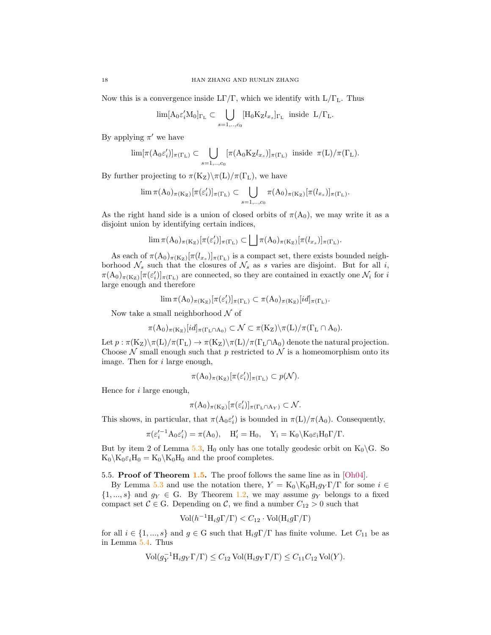Now this is a convergence inside  $LT/\Gamma$ , which we identify with  $L/\Gamma_L$ . Thus

$$
\lim [A_0 \varepsilon_i' M_0]_{\Gamma_{\mathcal{L}}} \subset \bigcup_{s=1,..,c_0} [H_0 K_Z l_{x_s}]_{\Gamma_{\mathcal{L}}} \text{ inside } \mathcal{L}/\Gamma_{\mathcal{L}}.
$$

By applying  $\pi'$  we have

$$
\lim [\pi(\mathrm{A}_0\varepsilon_i')]_{\pi(\Gamma_{\mathrm{L}})} \subset \bigcup_{s=1,\dots,c_0} [\pi(\mathrm{A}_0 \mathrm{K}_\mathrm{Z} l_{x_s})]_{\pi(\Gamma_{\mathrm{L}})} \text{ inside } \pi(\mathrm{L})/\pi(\Gamma_{\mathrm{L}}).
$$

By further projecting to  $\pi(K_Z)\$ (L)/ $\pi(\Gamma_L)$ , we have

$$
\lim \pi(A_0)_{\pi(K_Z)}[\pi(\varepsilon'_i)]_{\pi(\Gamma_L)} \subset \bigcup_{s=1,\ldots,c_0} \pi(A_0)_{\pi(K_Z)}[\pi(l_{x_s})]_{\pi(\Gamma_L)}.
$$

As the right hand side is a union of closed orbits of  $\pi(A_0)$ , we may write it as a disjoint union by identifying certain indices,

$$
\lim \pi(A_0)_{\pi(K_Z)}[\pi(\varepsilon'_i)]_{\pi(\Gamma_L)} \subset \bigsqcup \pi(A_0)_{\pi(K_Z)}[\pi(l_{x_s})]_{\pi(\Gamma_L)}.
$$

As each of  $\pi(A_0)_{\pi(K_Z)}[\pi(l_{x_s})]_{\pi(\Gamma_L)}$  is a compact set, there exists bounded neighborhood  $\mathcal{N}_s$  such that the closures of  $\mathcal{N}_s$  as s varies are disjoint. But for all i,  $\pi(A_0)_{\pi(K_Z)}[\pi(\varepsilon'_i)]_{\pi(\Gamma_L)}$  are connected, so they are contained in exactly one  $\mathcal{N}_i$  for i large enough and therefore

$$
\lim \pi(A_0)_{\pi(K_Z)}[\pi(\varepsilon'_i)]_{\pi(\Gamma_L)} \subset \pi(A_0)_{\pi(K_Z)}[id]_{\pi(\Gamma_L)}.
$$

Now take a small neighborhood  $\mathcal N$  of

$$
\pi(A_0)_{\pi(K_Z)}[id]_{\pi(\Gamma_L \cap A_0)} \subset \mathcal{N} \subset \pi(K_Z) \backslash \pi(L)/\pi(\Gamma_L \cap A_0).
$$

Let  $p : \pi(K_Z)\backslash \pi(L)/\pi(\Gamma_L) \to \pi(K_Z)\backslash \pi(L)/\pi(\Gamma_L \cap A_0)$  denote the natural projection. Choose  $\mathcal N$  small enough such that p restricted to  $\mathcal N$  is a homeomorphism onto its image. Then for i large enough,

$$
\pi(A_0)_{\pi(K_Z)}[\pi(\varepsilon_i')]_{\pi(\Gamma_L)} \subset p(\mathcal{N}).
$$

Hence for  $i$  large enough,

$$
\pi(A_0)_{\pi(K_Z)}[\pi(\varepsilon_i')]_{\pi(\Gamma_L \cap A_Y)} \subset \mathcal{N}.
$$

This shows, in particular, that  $\pi(A_0 \varepsilon'_i)$  is bounded in  $\pi(L)/\pi(A_0)$ . Consequently,

$$
\pi(\varepsilon_i'^{-1} A_0 \varepsilon_i') = \pi(A_0), \quad H_i' = H_0, \quad Y_i = K_0 \backslash K_0 \varepsilon_i H_0 \Gamma / \Gamma.
$$

But by item 2 of Lemma [5.3,](#page-14-4)  $H_0$  only has one totally geodesic orbit on  $K_0\backslash G$ . So  $K_0 \backslash K_0 \varepsilon_i H_0 = K_0 \backslash K_0 H_0$  and the proof completes.

<span id="page-17-0"></span>5.5. Proof of Theorem [1.5.](#page-2-3) The proof follows the same line as in [\[Oh04\]](#page-19-3).

By Lemma [5.3](#page-14-4) and use the notation there,  $Y = K_0 \backslash K_0 H_i g_Y \Gamma / \Gamma$  for some  $i \in$  $\{1, ..., s\}$  and  $g_Y \in G$ . By Theorem [1.2,](#page-1-3) we may assume  $g_Y$  belongs to a fixed compact set  $C \in G$ . Depending on C, we find a number  $C_{12} > 0$  such that

$$
Vol(h^{-1}H_i g \Gamma/\Gamma) < C_{12} \cdot Vol(H_i g \Gamma/\Gamma)
$$

for all  $i \in \{1, ..., s\}$  and  $g \in G$  such that  $H_i g \Gamma / \Gamma$  has finite volume. Let  $C_{11}$  be as in Lemma [5.4.](#page-15-1) Thus

$$
\text{Vol}(g_Y^{-1}H_i g_Y \Gamma/\Gamma) \leq C_{12} \text{ Vol}(H_i g_Y \Gamma/\Gamma) \leq C_{11} C_{12} \text{ Vol}(Y).
$$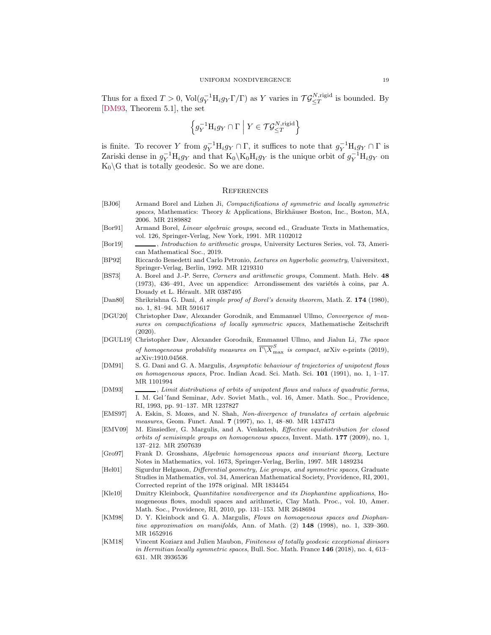Thus for a fixed  $T > 0$ ,  $Vol(g_Y^{-1} H_i g_Y \Gamma/\Gamma)$  as Y varies in  $\mathcal{T} \mathcal{G}_{\leq T}^{N, \text{rigid}}$  is bounded. By [\[DM93,](#page-18-17) Theorem 5.1], the set

$$
\left\{ g_Y^{-1} \mathcal{H}_i g_Y \cap \Gamma \bigm| Y \in \mathcal{T} \mathcal{G}_{\leq T}^{N, \mathrm{rigid}} \right\}
$$

is finite. To recover Y from  $g_Y^{-1}H_i g_Y \cap \Gamma$ , it suffices to note that  $g_Y^{-1}H_i g_Y \cap \Gamma$  is Zariski dense in  $g_Y^{-1}H_i g_Y$  and that  $K_0\backslash K_0H_ig_Y$  is the unique orbit of  $g_Y^{-1}H_ig_Y$  on  $K_0 \backslash G$  that is totally geodesic. So we are done.

#### <span id="page-18-0"></span>**REFERENCES**

- <span id="page-18-9"></span>[BJ06] Armand Borel and Lizhen Ji, Compactifications of symmetric and locally symmetric spaces, Mathematics: Theory & Applications, Birkhäuser Boston, Inc., Boston, MA, 2006. MR 2189882
- <span id="page-18-10"></span>[Bor91] Armand Borel, Linear algebraic groups, second ed., Graduate Texts in Mathematics, vol. 126, Springer-Verlag, New York, 1991. MR 1102012
- <span id="page-18-7"></span>[Bor19] , *Introduction to arithmetic groups*, University Lectures Series, vol. 73, American Mathematical Soc., 2019.
- <span id="page-18-15"></span>[BP92] Riccardo Benedetti and Carlo Petronio, Lectures on hyperbolic geometry, Universitext, Springer-Verlag, Berlin, 1992. MR 1219310
- <span id="page-18-8"></span>[BS73] A. Borel and J.-P. Serre, Corners and arithmetic groups, Comment. Math. Helv. 48 (1973), 436–491, Avec un appendice: Arrondissement des variétés à coins, par A. Douady et L. Hérault. MR 0387495
- <span id="page-18-16"></span>[Dan80] Shrikrishna G. Dani, A simple proof of Borel's density theorem, Math. Z. 174 (1980), no. 1, 81–94. MR 591617
- <span id="page-18-5"></span>[DGU20] Christopher Daw, Alexander Gorodnik, and Emmanuel Ullmo, Convergence of measures on compactifications of locally symmetric spaces, Mathematische Zeitschrift (2020).
- <span id="page-18-4"></span>[DGUL19] Christopher Daw, Alexander Gorodnik, Emmanuel Ullmo, and Jialun Li, The space of homogeneous probability measures on  $\overline{\Gamma\setminus X}_{\max}^S$  is compact, arXiv e-prints (2019), arXiv:1910.04568.
- <span id="page-18-1"></span>[DM91] S. G. Dani and G. A. Margulis, Asymptotic behaviour of trajectories of unipotent flows on homogeneous spaces, Proc. Indian Acad. Sci. Math. Sci. 101 (1991), no. 1, 1–17. MR 1101994
- <span id="page-18-17"></span>[DM93] , Limit distributions of orbits of unipotent flows and values of quadratic forms, I. M. Gel´fand Seminar, Adv. Soviet Math., vol. 16, Amer. Math. Soc., Providence, RI, 1993, pp. 91–137. MR 1237827
- <span id="page-18-11"></span>[EMS97] A. Eskin, S. Mozes, and N. Shah, Non-divergence of translates of certain algebraic measures, Geom. Funct. Anal. 7 (1997), no. 1, 48–80. MR 1437473
- <span id="page-18-2"></span>[EMV09] M. Einsiedler, G. Margulis, and A. Venkatesh, Effective equidistribution for closed orbits of semisimple groups on homogeneous spaces, Invent. Math. 177 (2009), no. 1, 137–212. MR 2507639
- <span id="page-18-3"></span>[Gro97] Frank D. Grosshans, Algebraic homogeneous spaces and invariant theory, Lecture Notes in Mathematics, vol. 1673, Springer-Verlag, Berlin, 1997. MR 1489234
- <span id="page-18-13"></span>[Hel01] Sigurdur Helgason, *Differential geometry, Lie groups, and symmetric spaces*, Graduate Studies in Mathematics, vol. 34, American Mathematical Society, Providence, RI, 2001, Corrected reprint of the 1978 original. MR 1834454
- <span id="page-18-6"></span>[Kle10] Dmitry Kleinbock, Quantitative nondivergence and its Diophantine applications, Homogeneous flows, moduli spaces and arithmetic, Clay Math. Proc., vol. 10, Amer. Math. Soc., Providence, RI, 2010, pp. 131–153. MR 2648694
- <span id="page-18-12"></span>[KM98] D. Y. Kleinbock and G. A. Margulis, Flows on homogeneous spaces and Diophantine approximation on manifolds, Ann. of Math.  $(2)$  148  $(1998)$ , no. 1, 339-360. MR 1652916
- <span id="page-18-14"></span>[KM18] Vincent Koziarz and Julien Maubon, Finiteness of totally geodesic exceptional divisors in Hermitian locally symmetric spaces, Bull. Soc. Math. France  $146$  (2018), no. 4, 613– 631. MR 3936536